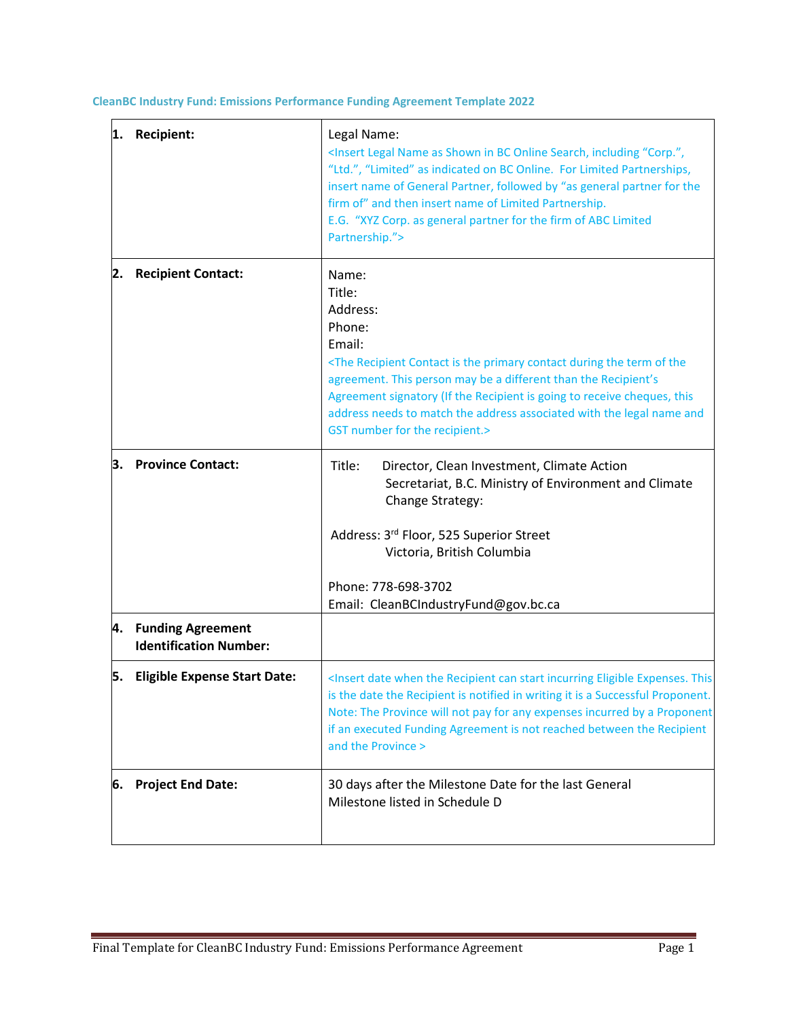**CleanBC Industry Fund: Emissions Performance Funding Agreement Template 2022**

| 1. | <b>Recipient:</b>                                     | Legal Name:<br><insert "corp.",<br="" as="" bc="" in="" including="" legal="" name="" online="" search,="" shown="">"Ltd.", "Limited" as indicated on BC Online. For Limited Partnerships,<br/>insert name of General Partner, followed by "as general partner for the<br/>firm of" and then insert name of Limited Partnership.<br/>E.G. "XYZ Corp. as general partner for the firm of ABC Limited<br/>Partnership."&gt;</insert> |
|----|-------------------------------------------------------|------------------------------------------------------------------------------------------------------------------------------------------------------------------------------------------------------------------------------------------------------------------------------------------------------------------------------------------------------------------------------------------------------------------------------------|
| 2. | <b>Recipient Contact:</b>                             | Name:<br>Title:<br>Address:<br>Phone:<br>Email:<br><the contact="" during="" is="" of="" primary="" recipient="" term="" the="" the<br="">agreement. This person may be a different than the Recipient's<br/>Agreement signatory (If the Recipient is going to receive cheques, this<br/>address needs to match the address associated with the legal name and<br/>GST number for the recipient.&gt;</the>                         |
| З. | <b>Province Contact:</b>                              | Title:<br>Director, Clean Investment, Climate Action<br>Secretariat, B.C. Ministry of Environment and Climate<br>Change Strategy:<br>Address: 3rd Floor, 525 Superior Street<br>Victoria, British Columbia<br>Phone: 778-698-3702<br>Email: CleanBCIndustryFund@gov.bc.ca                                                                                                                                                          |
|    | 4. Funding Agreement<br><b>Identification Number:</b> |                                                                                                                                                                                                                                                                                                                                                                                                                                    |
|    | 5. Eligible Expense Start Date:                       | <insert can="" date="" eligible="" expenses.="" incurring="" recipient="" start="" the="" this<br="" when="">is the date the Recipient is notified in writing it is a Successful Proponent.<br/>Note: The Province will not pay for any expenses incurred by a Proponent<br/>if an executed Funding Agreement is not reached between the Recipient<br/>and the Province &gt;</insert>                                              |
| 6. | <b>Project End Date:</b>                              | 30 days after the Milestone Date for the last General<br>Milestone listed in Schedule D                                                                                                                                                                                                                                                                                                                                            |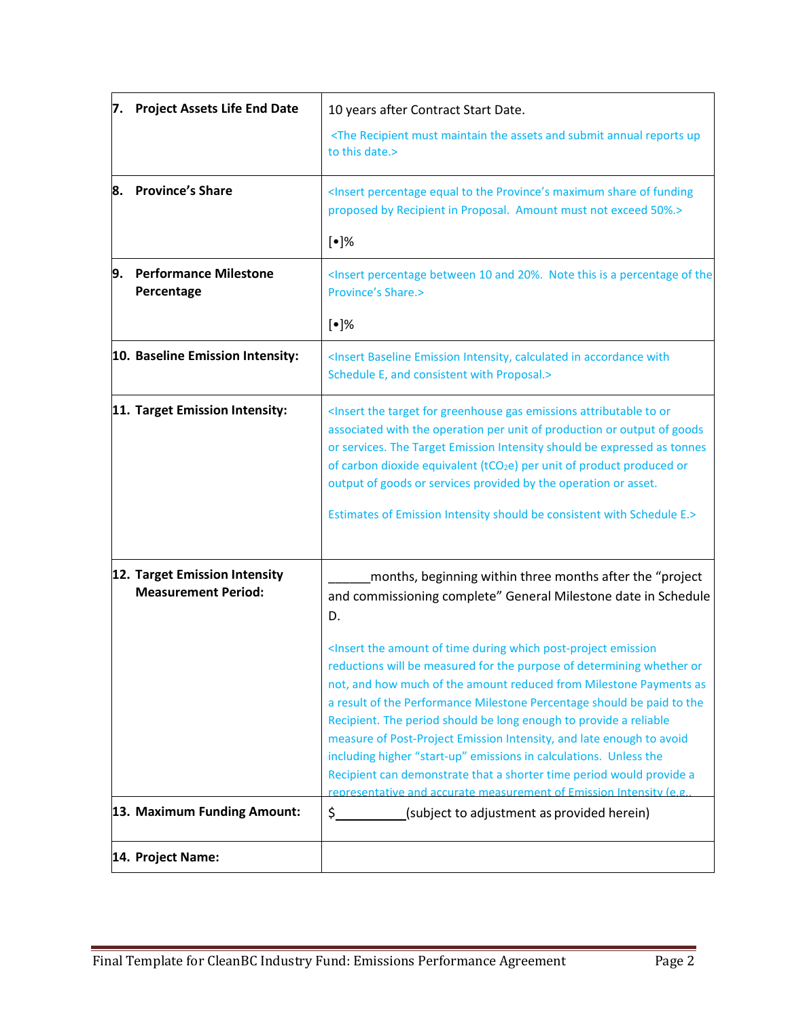| 7.                                                          | <b>Project Assets Life End Date</b>        | 10 years after Contract Start Date.                                                                                                                                                                                                                                                                                                                                                                                                                                                                                                                                                                                                                                                             |
|-------------------------------------------------------------|--------------------------------------------|-------------------------------------------------------------------------------------------------------------------------------------------------------------------------------------------------------------------------------------------------------------------------------------------------------------------------------------------------------------------------------------------------------------------------------------------------------------------------------------------------------------------------------------------------------------------------------------------------------------------------------------------------------------------------------------------------|
|                                                             |                                            | <the and="" annual="" assets="" maintain="" must="" recipient="" reports="" submit="" the="" up<br="">to this date.&gt;</the>                                                                                                                                                                                                                                                                                                                                                                                                                                                                                                                                                                   |
|                                                             | 8. Province's Share                        | <insert equal="" funding<br="" maximum="" of="" percentage="" province's="" share="" the="" to="">proposed by Recipient in Proposal. Amount must not exceed 50%.&gt;</insert>                                                                                                                                                                                                                                                                                                                                                                                                                                                                                                                   |
|                                                             |                                            | $\lbrack \bullet \rbrack\%$                                                                                                                                                                                                                                                                                                                                                                                                                                                                                                                                                                                                                                                                     |
| 9.                                                          | <b>Performance Milestone</b><br>Percentage | <insert 10="" 20%.="" a="" and="" between="" is="" note="" of="" percentage="" the<br="" this=""><b>Province's Share.&gt;</b></insert>                                                                                                                                                                                                                                                                                                                                                                                                                                                                                                                                                          |
|                                                             |                                            | $\lbrack \bullet \rbrack\%$                                                                                                                                                                                                                                                                                                                                                                                                                                                                                                                                                                                                                                                                     |
|                                                             | 10. Baseline Emission Intensity:           | <insert accordance="" baseline="" calculated="" emission="" in="" intensity,="" with<br="">Schedule E, and consistent with Proposal.&gt;</insert>                                                                                                                                                                                                                                                                                                                                                                                                                                                                                                                                               |
|                                                             | 11. Target Emission Intensity:             | <insert attributable="" emissions="" for="" gas="" greenhouse="" or<br="" target="" the="" to="">associated with the operation per unit of production or output of goods<br/>or services. The Target Emission Intensity should be expressed as tonnes<br/>of carbon dioxide equivalent (tCO<sub>2</sub>e) per unit of product produced or<br/>output of goods or services provided by the operation or asset.<br/>Estimates of Emission Intensity should be consistent with Schedule E.&gt;</insert>                                                                                                                                                                                            |
| 12. Target Emission Intensity<br><b>Measurement Period:</b> |                                            | months, beginning within three months after the "project<br>and commissioning complete" General Milestone date in Schedule<br>D.                                                                                                                                                                                                                                                                                                                                                                                                                                                                                                                                                                |
|                                                             |                                            | <insert amount="" during="" emission<br="" of="" post-project="" the="" time="" which="">reductions will be measured for the purpose of determining whether or<br/>not, and how much of the amount reduced from Milestone Payments as<br/>a result of the Performance Milestone Percentage should be paid to the<br/>Recipient. The period should be long enough to provide a reliable<br/>measure of Post-Project Emission Intensity, and late enough to avoid<br/>including higher "start-up" emissions in calculations. Unless the<br/>Recipient can demonstrate that a shorter time period would provide a<br/>representative and accurate measurement of Emission Intensity (e.g.</insert> |
|                                                             | 13. Maximum Funding Amount:                | \$<br>(subject to adjustment as provided herein)                                                                                                                                                                                                                                                                                                                                                                                                                                                                                                                                                                                                                                                |
|                                                             | 14. Project Name:                          |                                                                                                                                                                                                                                                                                                                                                                                                                                                                                                                                                                                                                                                                                                 |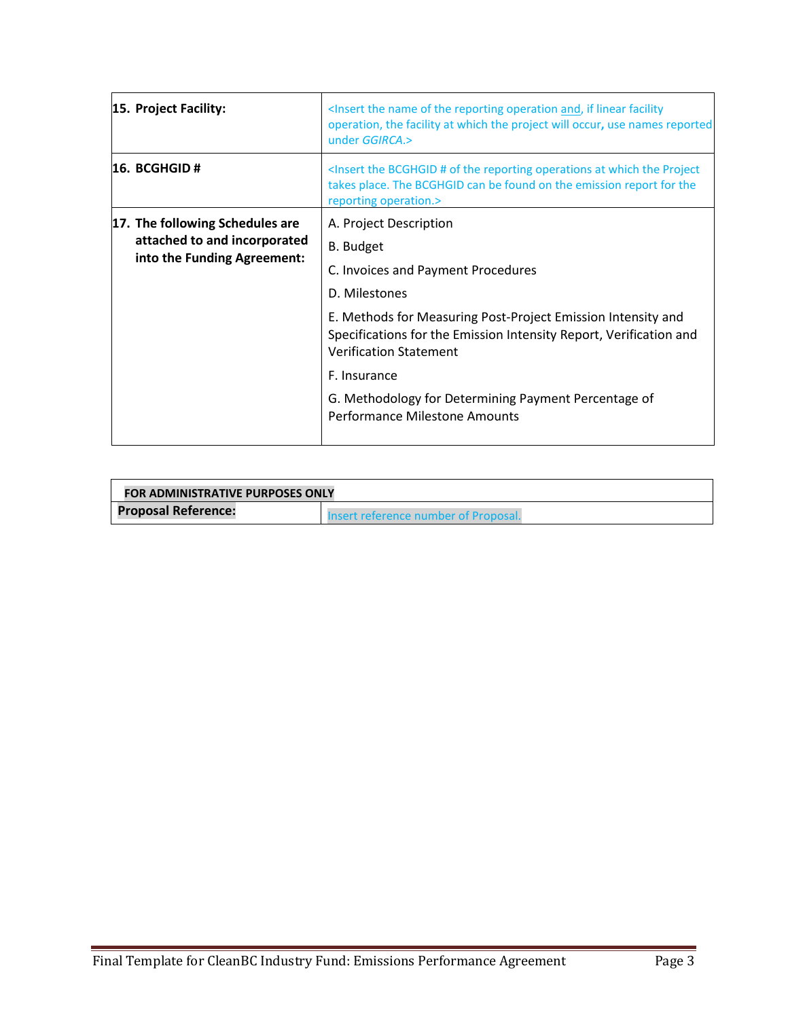| <insert and,="" facility<br="" if="" linear="" name="" of="" operation="" reporting="" the="">operation, the facility at which the project will occur, use names reported<br/>under GGIRCA.&gt;</insert> |
|----------------------------------------------------------------------------------------------------------------------------------------------------------------------------------------------------------|
| <insert #="" at="" bcghgid="" of="" operations="" project<br="" reporting="" the="" which="">takes place. The BCGHGID can be found on the emission report for the<br/>reporting operation.&gt;</insert>  |
| A. Project Description                                                                                                                                                                                   |
| <b>B.</b> Budget                                                                                                                                                                                         |
| C. Invoices and Payment Procedures                                                                                                                                                                       |
| D. Milestones                                                                                                                                                                                            |
| E. Methods for Measuring Post-Project Emission Intensity and<br>Specifications for the Emission Intensity Report, Verification and<br><b>Verification Statement</b>                                      |
| F. Insurance                                                                                                                                                                                             |
| G. Methodology for Determining Payment Percentage of<br><b>Performance Milestone Amounts</b>                                                                                                             |
|                                                                                                                                                                                                          |

| FOR ADMINISTRATIVE PURPOSES ONLY |                                      |
|----------------------------------|--------------------------------------|
| <b>Proposal Reference:</b>       | Insert reference number of Proposal. |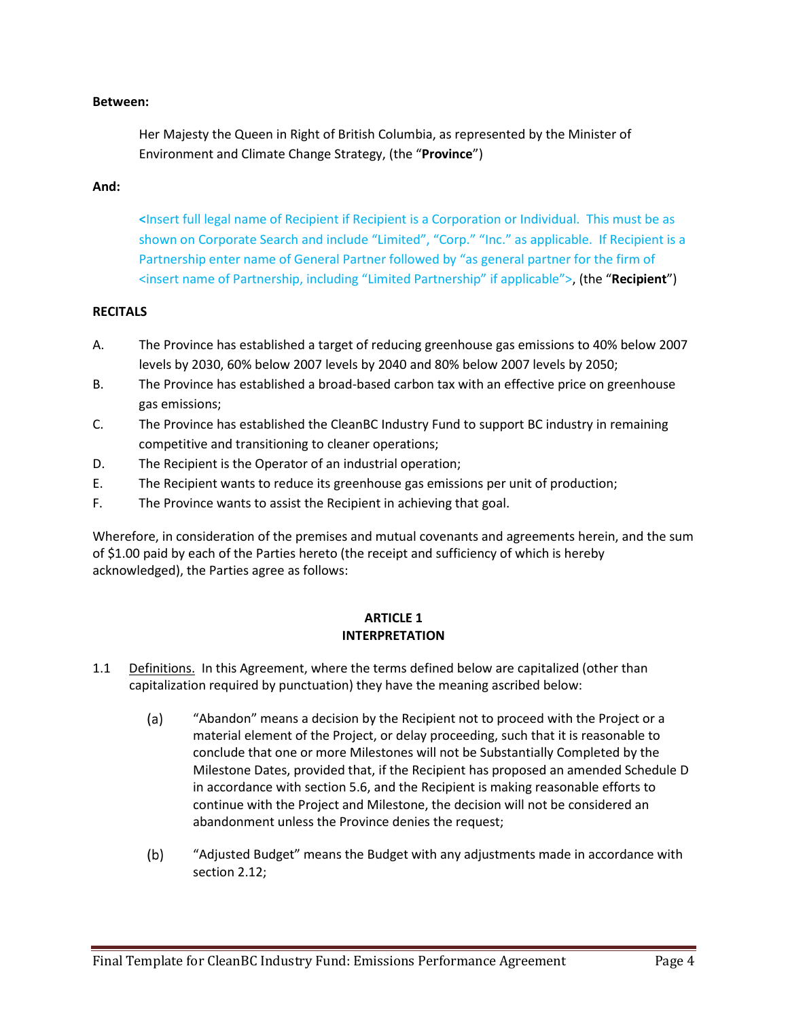#### **Between:**

Her Majesty the Queen in Right of British Columbia, as represented by the Minister of Environment and Climate Change Strategy, (the "**Province**")

#### **And:**

**<**Insert full legal name of Recipient if Recipient is a Corporation or Individual. This must be as shown on Corporate Search and include "Limited", "Corp." "Inc." as applicable. If Recipient is a Partnership enter name of General Partner followed by "as general partner for the firm of <insert name of Partnership, including "Limited Partnership" if applicable">, (the "**Recipient**")

### **RECITALS**

- A. The Province has established a target of reducing greenhouse gas emissions to 40% below 2007 levels by 2030, 60% below 2007 levels by 2040 and 80% below 2007 levels by 2050;
- B. The Province has established a broad-based carbon tax with an effective price on greenhouse gas emissions;
- C. The Province has established the CleanBC Industry Fund to support BC industry in remaining competitive and transitioning to cleaner operations;
- D. The Recipient is the Operator of an industrial operation;
- E. The Recipient wants to reduce its greenhouse gas emissions per unit of production;
- F. The Province wants to assist the Recipient in achieving that goal.

Wherefore, in consideration of the premises and mutual covenants and agreements herein, and the sum of \$1.00 paid by each of the Parties hereto (the receipt and sufficiency of which is hereby acknowledged), the Parties agree as follows:

### **ARTICLE 1 INTERPRETATION**

- 1.1 Definitions. In this Agreement, where the terms defined below are capitalized (other than capitalization required by punctuation) they have the meaning ascribed below:
	- $(a)$ "Abandon" means a decision by the Recipient not to proceed with the Project or a material element of the Project, or delay proceeding, such that it is reasonable to conclude that one or more Milestones will not be Substantially Completed by the Milestone Dates, provided that, if the Recipient has proposed an amended Schedule D in accordance with section 5.6, and the Recipient is making reasonable efforts to continue with the Project and Milestone, the decision will not be considered an abandonment unless the Province denies the request;
	- $(b)$ "Adjusted Budget" means the Budget with any adjustments made in accordance with section 2.12;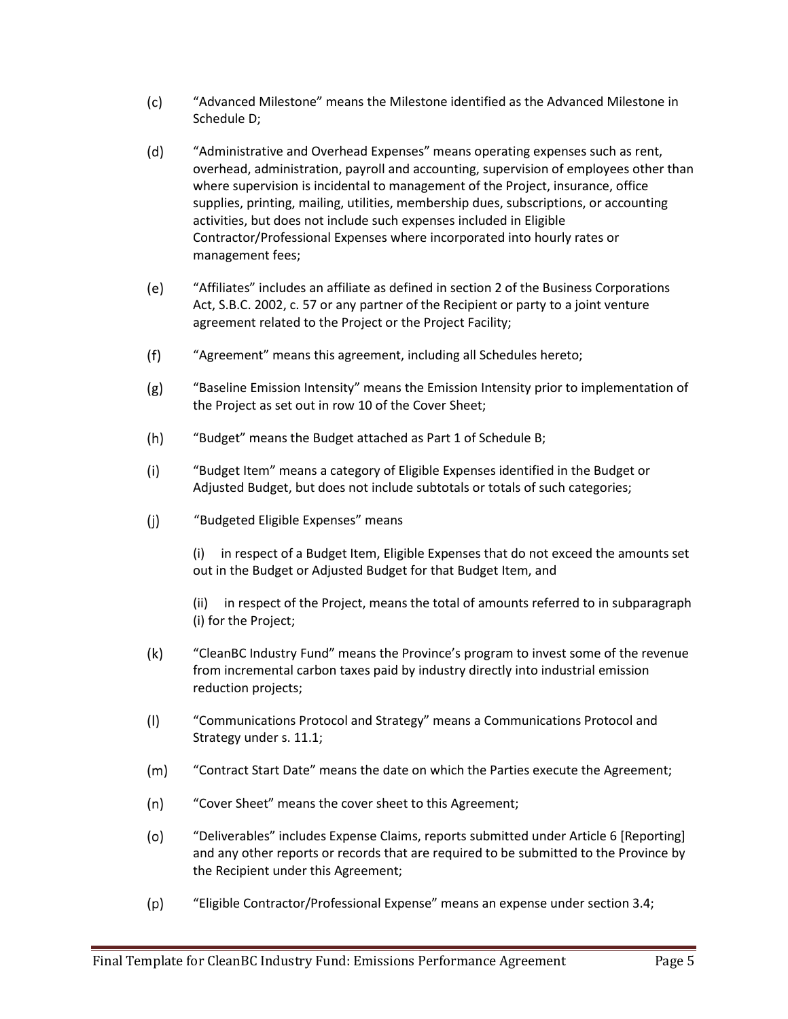- $(c)$ "Advanced Milestone" means the Milestone identified as the Advanced Milestone in Schedule D;
- $(d)$ "Administrative and Overhead Expenses" means operating expenses such as rent, overhead, administration, payroll and accounting, supervision of employees other than where supervision is incidental to management of the Project, insurance, office supplies, printing, mailing, utilities, membership dues, subscriptions, or accounting activities, but does not include such expenses included in Eligible Contractor/Professional Expenses where incorporated into hourly rates or management fees;
- $(e)$ "Affiliates" includes an affiliate as defined in section 2 of the Business Corporations Act, S.B.C. 2002, c. 57 or any partner of the Recipient or party to a joint venture agreement related to the Project or the Project Facility;
- $(f)$ "Agreement" means this agreement, including all Schedules hereto;
- $(g)$ "Baseline Emission Intensity" means the Emission Intensity prior to implementation of the Project as set out in row 10 of the Cover Sheet;
- $(h)$ "Budget" means the Budget attached as Part 1 of Schedule B;
- "Budget Item" means a category of Eligible Expenses identified in the Budget or  $(i)$ Adjusted Budget, but does not include subtotals or totals of such categories;
- $(i)$ "Budgeted Eligible Expenses" means

(i) in respect of a Budget Item, Eligible Expenses that do not exceed the amounts set out in the Budget or Adjusted Budget for that Budget Item, and

(ii) in respect of the Project, means the total of amounts referred to in subparagraph (i) for the Project;

- $(k)$ "CleanBC Industry Fund" means the Province's program to invest some of the revenue from incremental carbon taxes paid by industry directly into industrial emission reduction projects;
- $(1)$ "Communications Protocol and Strategy" means a Communications Protocol and Strategy under s. 11.1;
- $(m)$ "Contract Start Date" means the date on which the Parties execute the Agreement;
- $(n)$ "Cover Sheet" means the cover sheet to this Agreement;
- $(o)$ "Deliverables" includes Expense Claims, reports submitted under Article 6 [Reporting] and any other reports or records that are required to be submitted to the Province by the Recipient under this Agreement;
- $(p)$ "Eligible Contractor/Professional Expense" means an expense under section 3.4;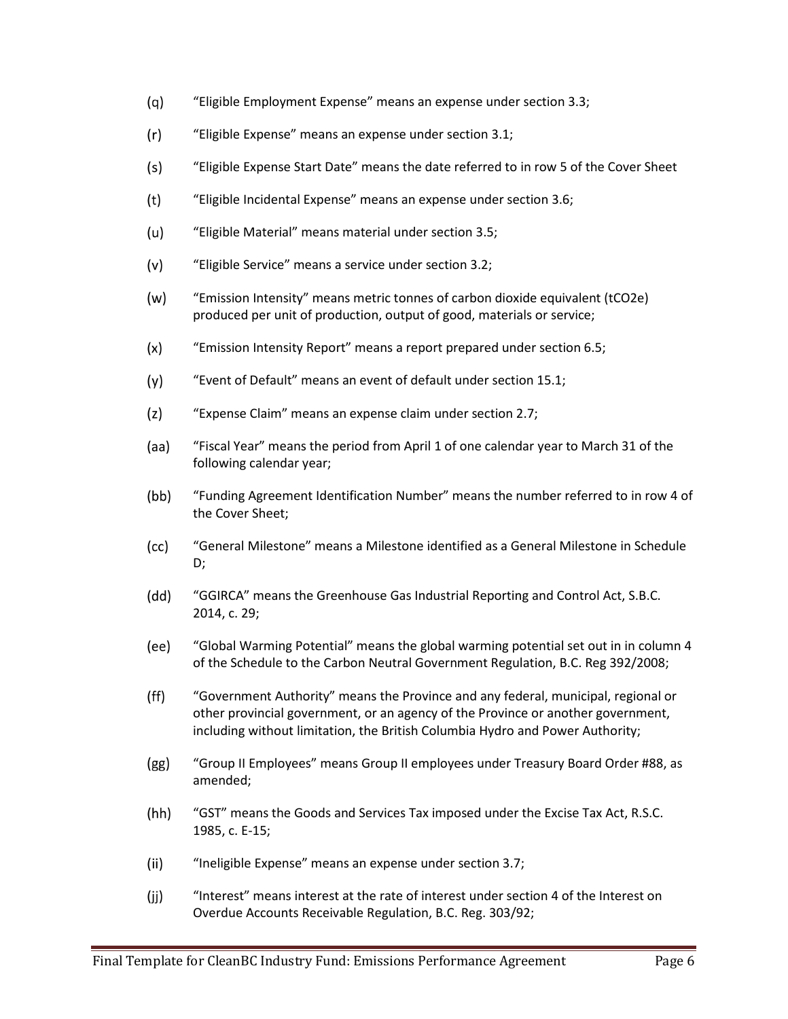- $(q)$ "Eligible Employment Expense" means an expense under section 3.3;
- $(r)$ "Eligible Expense" means an expense under section 3.1;
- $(s)$ "Eligible Expense Start Date" means the date referred to in row 5 of the Cover Sheet
- $(t)$ "Eligible Incidental Expense" means an expense under section 3.6;
- $(u)$ "Eligible Material" means material under section 3.5;
- $(v)$ "Eligible Service" means a service under section 3.2;
- $(w)$ "Emission Intensity" means metric tonnes of carbon dioxide equivalent (tCO2e) produced per unit of production, output of good, materials or service;
- "Emission Intensity Report" means a report prepared under section 6.5;  $(x)$
- $(y)$ "Event of Default" means an event of default under section 15.1;
- $(z)$ "Expense Claim" means an expense claim under section 2.7;
- (aa) "Fiscal Year" means the period from April 1 of one calendar year to March 31 of the following calendar year;
- $(bb)$ "Funding Agreement Identification Number" means the number referred to in row 4 of the Cover Sheet;
- "General Milestone" means a Milestone identified as a General Milestone in Schedule  $(cc)$ D;
- (dd) "GGIRCA" means the Greenhouse Gas Industrial Reporting and Control Act, S.B.C. 2014, c. 29;
- $(ee)$ "Global Warming Potential" means the global warming potential set out in in column 4 of the Schedule to the Carbon Neutral Government Regulation, B.C. Reg 392/2008;
- $(ff)$ "Government Authority" means the Province and any federal, municipal, regional or other provincial government, or an agency of the Province or another government, including without limitation, the British Columbia Hydro and Power Authority;
- $(gg)$ "Group II Employees" means Group II employees under Treasury Board Order #88, as amended;
- $(hh)$ "GST" means the Goods and Services Tax imposed under the Excise Tax Act, R.S.C. 1985, c. E-15;
- $(ii)$ "Ineligible Expense" means an expense under section 3.7;
- $(ii)$ "Interest" means interest at the rate of interest under section 4 of the Interest on Overdue Accounts Receivable Regulation, B.C. Reg. 303/92;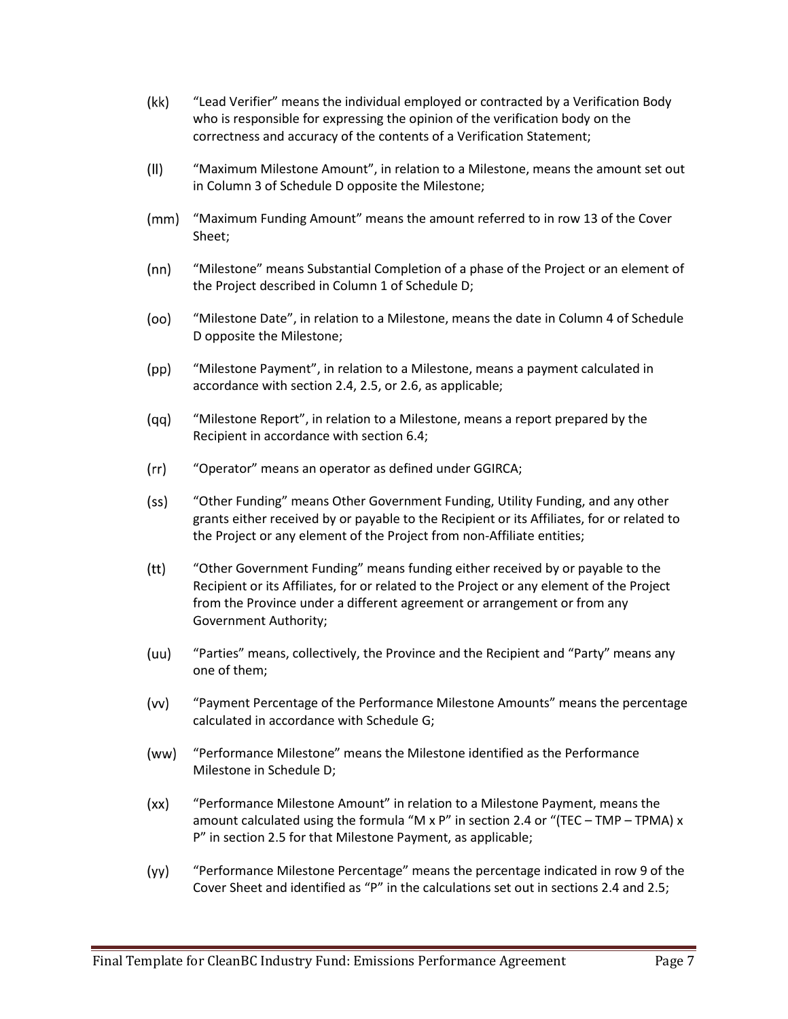- (kk) "Lead Verifier" means the individual employed or contracted by a Verification Body who is responsible for expressing the opinion of the verification body on the correctness and accuracy of the contents of a Verification Statement;
- $(11)$ "Maximum Milestone Amount", in relation to a Milestone, means the amount set out in Column 3 of Schedule D opposite the Milestone;
- $(mm)$ "Maximum Funding Amount" means the amount referred to in row 13 of the Cover Sheet;
- $(nn)$ "Milestone" means Substantial Completion of a phase of the Project or an element of the Project described in Column 1 of Schedule D;
- (oo) "Milestone Date", in relation to a Milestone, means the date in Column 4 of Schedule D opposite the Milestone;
- $(pp)$ "Milestone Payment", in relation to a Milestone, means a payment calculated in accordance with section 2.4, 2.5, or 2.6, as applicable;
- (gg) "Milestone Report", in relation to a Milestone, means a report prepared by the Recipient in accordance with section 6.4;
- $(rr)$ "Operator" means an operator as defined under GGIRCA;
- $(s<sub>S</sub>)$ "Other Funding" means Other Government Funding, Utility Funding, and any other grants either received by or payable to the Recipient or its Affiliates, for or related to the Project or any element of the Project from non-Affiliate entities;
- $(tt)$ "Other Government Funding" means funding either received by or payable to the Recipient or its Affiliates, for or related to the Project or any element of the Project from the Province under a different agreement or arrangement or from any Government Authority;
- (uu) "Parties" means, collectively, the Province and the Recipient and "Party" means any one of them;
- $(vv)$ "Payment Percentage of the Performance Milestone Amounts" means the percentage calculated in accordance with Schedule G;
- (ww) "Performance Milestone" means the Milestone identified as the Performance Milestone in Schedule D;
- $(xx)$ "Performance Milestone Amount" in relation to a Milestone Payment, means the amount calculated using the formula "M x P" in section 2.4 or "(TEC – TMP – TPMA) x P" in section 2.5 for that Milestone Payment, as applicable;
- $(yy)$ "Performance Milestone Percentage" means the percentage indicated in row 9 of the Cover Sheet and identified as "P" in the calculations set out in sections 2.4 and 2.5;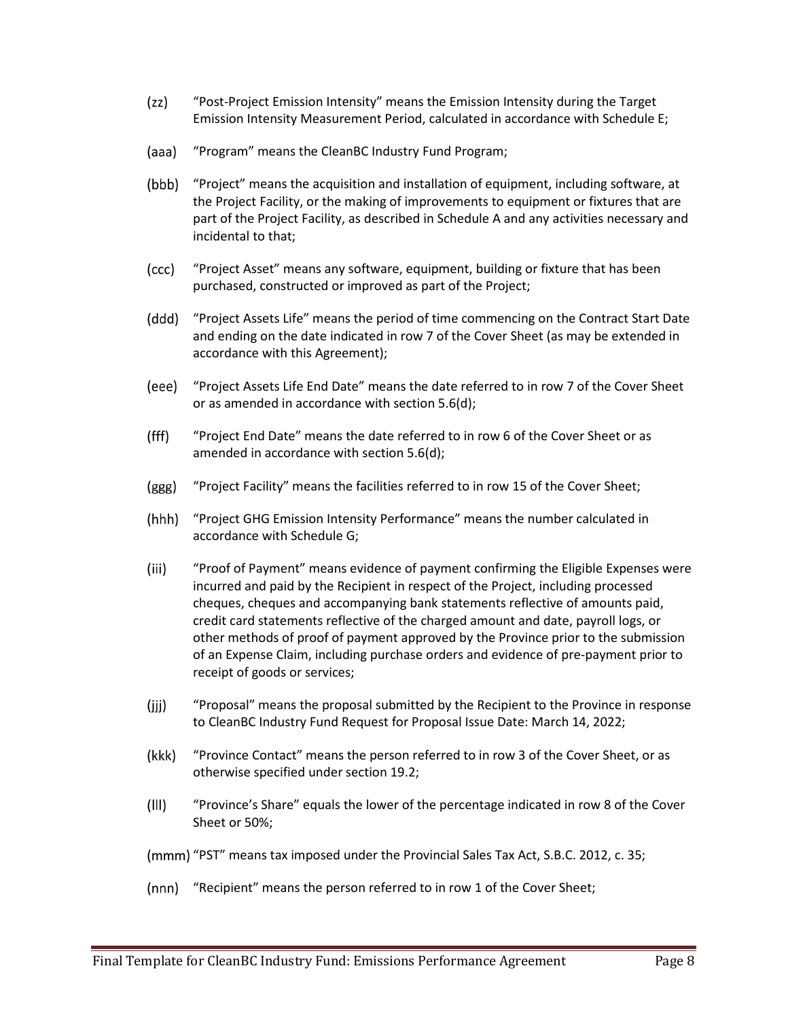- $(zz)$ "Post-Project Emission Intensity" means the Emission Intensity during the Target Emission Intensity Measurement Period, calculated in accordance with Schedule E;
- (aaa) "Program" means the CleanBC Industry Fund Program;
- (bbb) "Project" means the acquisition and installation of equipment, including software, at the Project Facility, or the making of improvements to equipment or fixtures that are part of the Project Facility, as described in Schedule A and any activities necessary and incidental to that;
- (ccc) "Project Asset" means any software, equipment, building or fixture that has been purchased, constructed or improved as part of the Project;
- (ddd) "Project Assets Life" means the period of time commencing on the Contract Start Date and ending on the date indicated in row 7 of the Cover Sheet (as may be extended in accordance with this Agreement);
- (eee) "Project Assets Life End Date" means the date referred to in row 7 of the Cover Sheet or as amended in accordance with section 5.6(d);
- $(fff)$ "Project End Date" means the date referred to in row 6 of the Cover Sheet or as amended in accordance with section 5.6(d);
- (ggg) "Project Facility" means the facilities referred to in row 15 of the Cover Sheet;
- $(hhh)$ "Project GHG Emission Intensity Performance" means the number calculated in accordance with Schedule G;
- $(iii)$ "Proof of Payment" means evidence of payment confirming the Eligible Expenses were incurred and paid by the Recipient in respect of the Project, including processed cheques, cheques and accompanying bank statements reflective of amounts paid, credit card statements reflective of the charged amount and date, payroll logs, or other methods of proof of payment approved by the Province prior to the submission of an Expense Claim, including purchase orders and evidence of pre-payment prior to receipt of goods or services;
- $(iii)$ "Proposal" means the proposal submitted by the Recipient to the Province in response to CleanBC Industry Fund Request for Proposal Issue Date: March 14, 2022;
- (kkk) "Province Contact" means the person referred to in row 3 of the Cover Sheet, or as otherwise specified under section 19.2;
- $(III)$ "Province's Share" equals the lower of the percentage indicated in row 8 of the Cover Sheet or 50%;
- (mmm) "PST" means tax imposed under the Provincial Sales Tax Act, S.B.C. 2012, c. 35;
- (nnn) "Recipient" means the person referred to in row 1 of the Cover Sheet;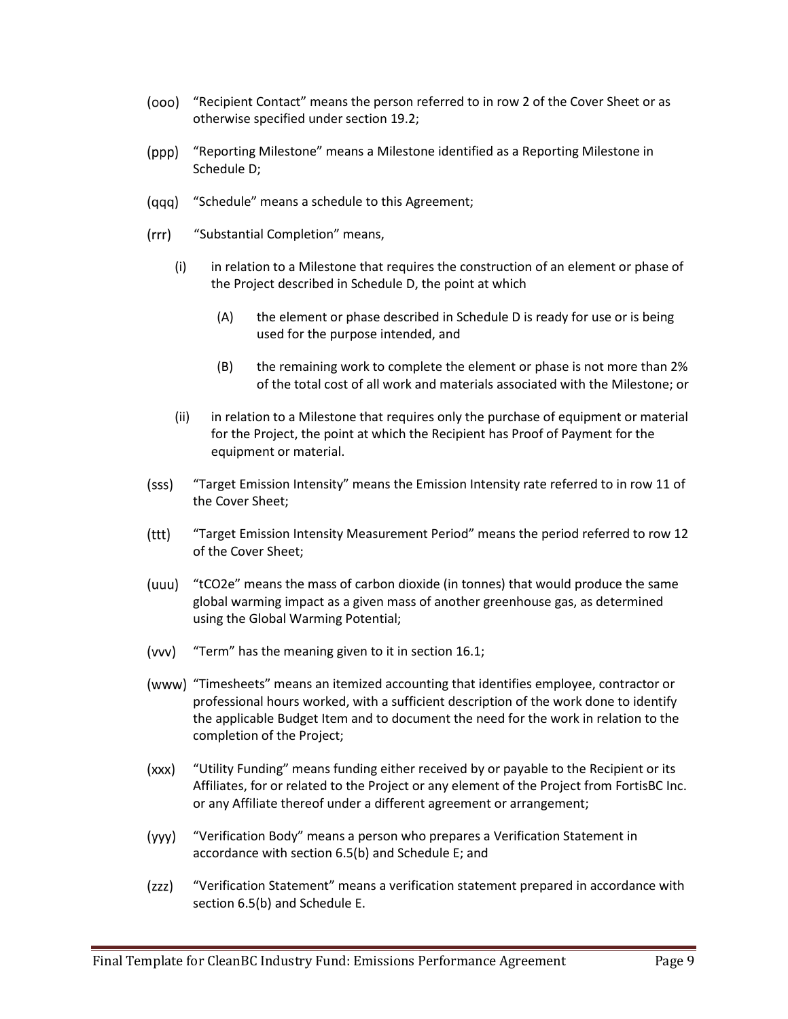- "Recipient Contact" means the person referred to in row 2 of the Cover Sheet or as otherwise specified under section 19.2;
- (ppp) "Reporting Milestone" means a Milestone identified as a Reporting Milestone in Schedule D;
- (qqq) "Schedule" means a schedule to this Agreement;
- $(rrr)$ "Substantial Completion" means,
	- (i) in relation to a Milestone that requires the construction of an element or phase of the Project described in Schedule D, the point at which
		- (A) the element or phase described in Schedule D is ready for use or is being used for the purpose intended, and
		- (B) the remaining work to complete the element or phase is not more than 2% of the total cost of all work and materials associated with the Milestone; or
	- (ii) in relation to a Milestone that requires only the purchase of equipment or material for the Project, the point at which the Recipient has Proof of Payment for the equipment or material.
- "Target Emission Intensity" means the Emission Intensity rate referred to in row 11 of (sss) the Cover Sheet;
- $(ttt)$ "Target Emission Intensity Measurement Period" means the period referred to row 12 of the Cover Sheet;
- (uuu) "tCO2e" means the mass of carbon dioxide (in tonnes) that would produce the same global warming impact as a given mass of another greenhouse gas, as determined using the Global Warming Potential;
- (vvv) "Term" has the meaning given to it in section 16.1;
- (www) "Timesheets" means an itemized accounting that identifies employee, contractor or professional hours worked, with a sufficient description of the work done to identify the applicable Budget Item and to document the need for the work in relation to the completion of the Project;
- $(xxx)$ "Utility Funding" means funding either received by or payable to the Recipient or its Affiliates, for or related to the Project or any element of the Project from FortisBC Inc. or any Affiliate thereof under a different agreement or arrangement;
- (yyy) "Verification Body" means a person who prepares a Verification Statement in accordance with section 6.5(b) and Schedule E; and
- (zzz) "Verification Statement" means a verification statement prepared in accordance with section 6.5(b) and Schedule E.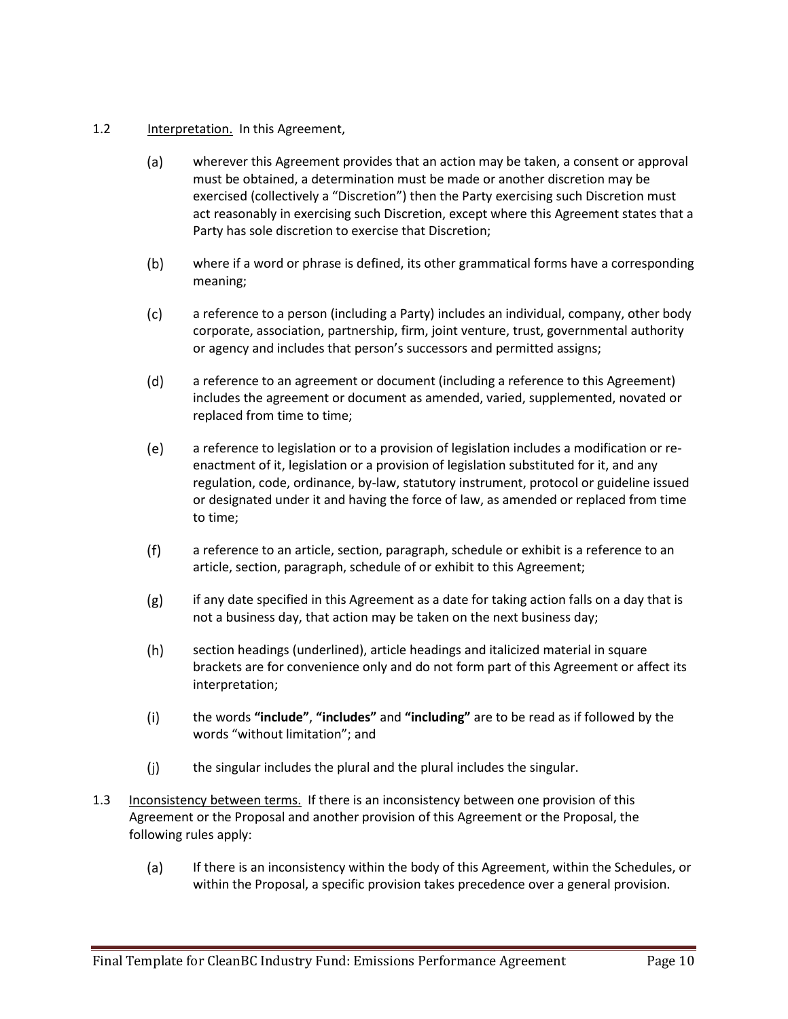- 1.2 Interpretation. In this Agreement,
	- wherever this Agreement provides that an action may be taken, a consent or approval  $(a)$ must be obtained, a determination must be made or another discretion may be exercised (collectively a "Discretion") then the Party exercising such Discretion must act reasonably in exercising such Discretion, except where this Agreement states that a Party has sole discretion to exercise that Discretion;
	- $(b)$ where if a word or phrase is defined, its other grammatical forms have a corresponding meaning;
	- $(c)$ a reference to a person (including a Party) includes an individual, company, other body corporate, association, partnership, firm, joint venture, trust, governmental authority or agency and includes that person's successors and permitted assigns;
	- $(d)$ a reference to an agreement or document (including a reference to this Agreement) includes the agreement or document as amended, varied, supplemented, novated or replaced from time to time;
	- $(e)$ a reference to legislation or to a provision of legislation includes a modification or reenactment of it, legislation or a provision of legislation substituted for it, and any regulation, code, ordinance, by-law, statutory instrument, protocol or guideline issued or designated under it and having the force of law, as amended or replaced from time to time;
	- $(f)$ a reference to an article, section, paragraph, schedule or exhibit is a reference to an article, section, paragraph, schedule of or exhibit to this Agreement;
	- $(g)$ if any date specified in this Agreement as a date for taking action falls on a day that is not a business day, that action may be taken on the next business day;
	- $(h)$ section headings (underlined), article headings and italicized material in square brackets are for convenience only and do not form part of this Agreement or affect its interpretation;
	- $(i)$ the words **"include"**, **"includes"** and **"including"** are to be read as if followed by the words "without limitation"; and
	- $(i)$ the singular includes the plural and the plural includes the singular.
- 1.3 Inconsistency between terms. If there is an inconsistency between one provision of this Agreement or the Proposal and another provision of this Agreement or the Proposal, the following rules apply:
	- $(a)$ If there is an inconsistency within the body of this Agreement, within the Schedules, or within the Proposal, a specific provision takes precedence over a general provision.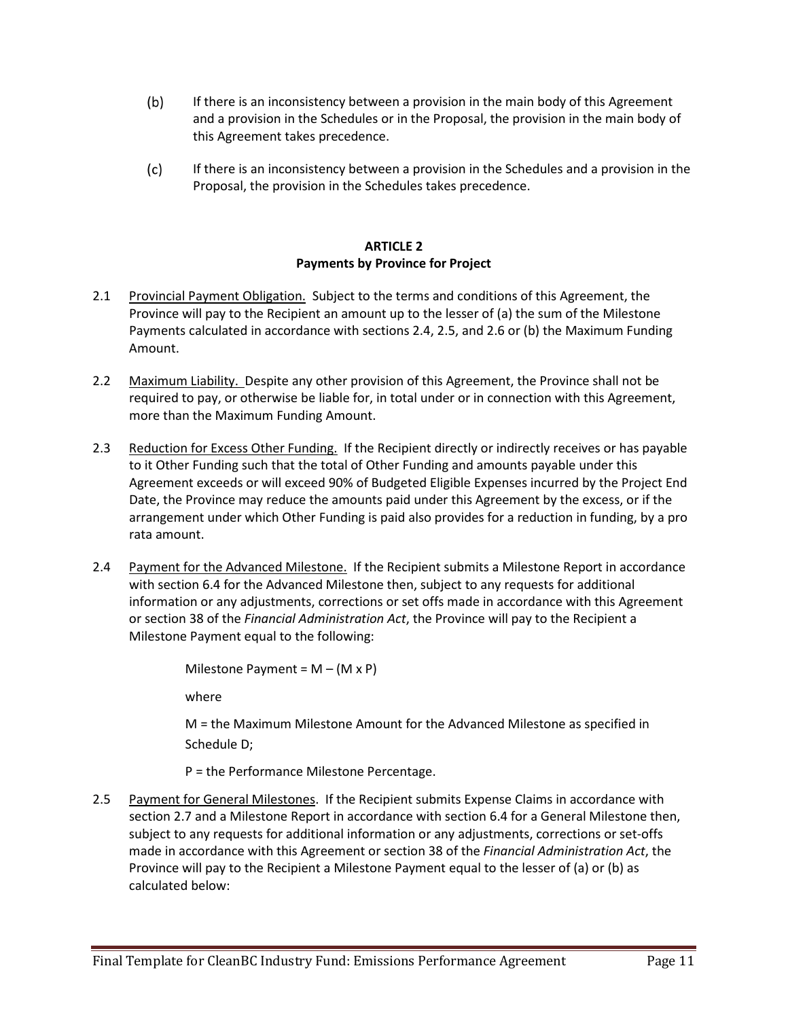- $(b)$ If there is an inconsistency between a provision in the main body of this Agreement and a provision in the Schedules or in the Proposal, the provision in the main body of this Agreement takes precedence.
- $(c)$ If there is an inconsistency between a provision in the Schedules and a provision in the Proposal, the provision in the Schedules takes precedence.

### **ARTICLE 2 Payments by Province for Project**

- 2.1 Provincial Payment Obligation. Subject to the terms and conditions of this Agreement, the Province will pay to the Recipient an amount up to the lesser of (a) the sum of the Milestone Payments calculated in accordance with sections 2.4, 2.5, and 2.6 or (b) the Maximum Funding Amount.
- 2.2 Maximum Liability. Despite any other provision of this Agreement, the Province shall not be required to pay, or otherwise be liable for, in total under or in connection with this Agreement, more than the Maximum Funding Amount.
- 2.3 Reduction for Excess Other Funding. If the Recipient directly or indirectly receives or has payable to it Other Funding such that the total of Other Funding and amounts payable under this Agreement exceeds or will exceed 90% of Budgeted Eligible Expenses incurred by the Project End Date, the Province may reduce the amounts paid under this Agreement by the excess, or if the arrangement under which Other Funding is paid also provides for a reduction in funding, by a pro rata amount.
- 2.4 Payment for the Advanced Milestone. If the Recipient submits a Milestone Report in accordance with section 6.4 for the Advanced Milestone then, subject to any requests for additional information or any adjustments, corrections or set offs made in accordance with this Agreement or section 38 of the *Financial Administration Act*, the Province will pay to the Recipient a Milestone Payment equal to the following:

Milestone Payment =  $M - (M \times P)$ where

M = the Maximum Milestone Amount for the Advanced Milestone as specified in Schedule D;

P = the Performance Milestone Percentage.

2.5 Payment for General Milestones. If the Recipient submits Expense Claims in accordance with section 2.7 and a Milestone Report in accordance with section 6.4 for a General Milestone then, subject to any requests for additional information or any adjustments, corrections or set-offs made in accordance with this Agreement or section 38 of the *Financial Administration Act*, the Province will pay to the Recipient a Milestone Payment equal to the lesser of (a) or (b) as calculated below: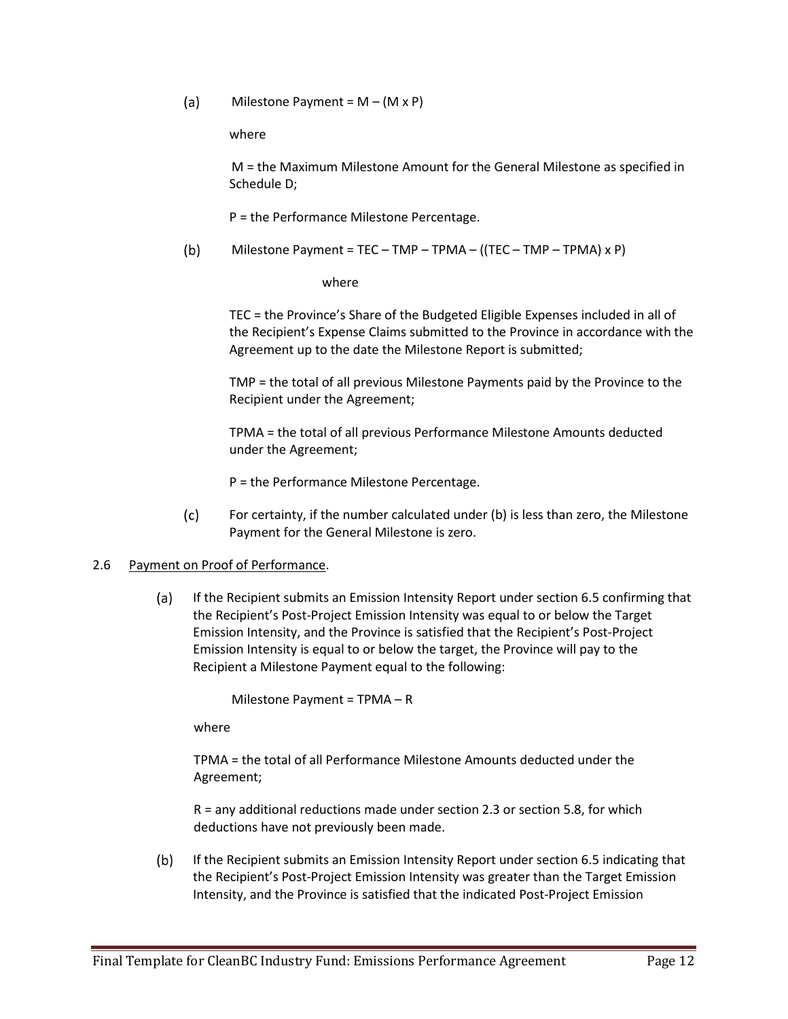$(a)$ Milestone Payment =  $M - (M \times P)$ 

where

M = the Maximum Milestone Amount for the General Milestone as specified in Schedule D;

P = the Performance Milestone Percentage.

 $(b)$ Milestone Payment = TEC – TMP – TPMA – ((TEC – TMP – TPMA)  $x P$ )

where

TEC = the Province's Share of the Budgeted Eligible Expenses included in all of the Recipient's Expense Claims submitted to the Province in accordance with the Agreement up to the date the Milestone Report is submitted;

TMP = the total of all previous Milestone Payments paid by the Province to the Recipient under the Agreement;

TPMA = the total of all previous Performance Milestone Amounts deducted under the Agreement;

P = the Performance Milestone Percentage.

 $(c)$ For certainty, if the number calculated under (b) is less than zero, the Milestone Payment for the General Milestone is zero.

#### 2.6 Payment on Proof of Performance.

 $(a)$ If the Recipient submits an Emission Intensity Report under section 6.5 confirming that the Recipient's Post-Project Emission Intensity was equal to or below the Target Emission Intensity, and the Province is satisfied that the Recipient's Post-Project Emission Intensity is equal to or below the target, the Province will pay to the Recipient a Milestone Payment equal to the following:

Milestone Payment = TPMA – R

where

TPMA = the total of all Performance Milestone Amounts deducted under the Agreement;

R = any additional reductions made under section 2.3 or section 5.8, for which deductions have not previously been made.

 $(b)$ If the Recipient submits an Emission Intensity Report under section 6.5 indicating that the Recipient's Post-Project Emission Intensity was greater than the Target Emission Intensity, and the Province is satisfied that the indicated Post-Project Emission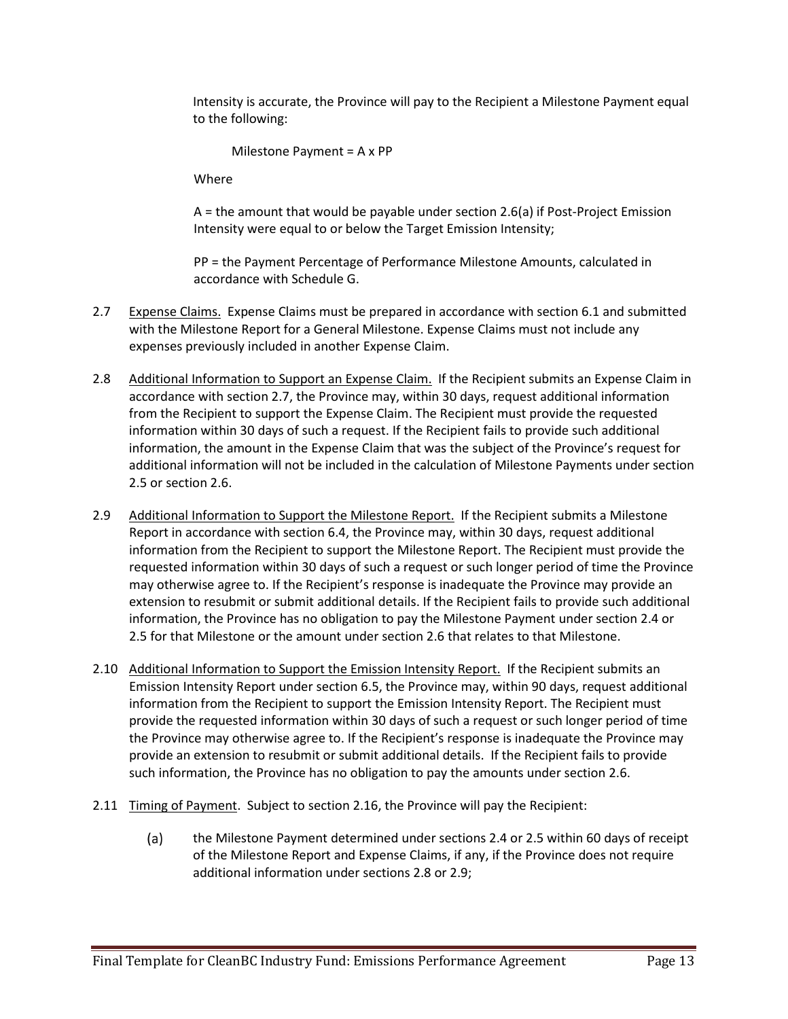Intensity is accurate, the Province will pay to the Recipient a Milestone Payment equal to the following:

Milestone Payment = A x PP

Where

A = the amount that would be payable under section 2.6(a) if Post-Project Emission Intensity were equal to or below the Target Emission Intensity;

PP = the Payment Percentage of Performance Milestone Amounts, calculated in accordance with Schedule G.

- 2.7 Expense Claims. Expense Claims must be prepared in accordance with section 6.1 and submitted with the Milestone Report for a General Milestone. Expense Claims must not include any expenses previously included in another Expense Claim.
- 2.8 Additional Information to Support an Expense Claim. If the Recipient submits an Expense Claim in accordance with section 2.7, the Province may, within 30 days, request additional information from the Recipient to support the Expense Claim. The Recipient must provide the requested information within 30 days of such a request. If the Recipient fails to provide such additional information, the amount in the Expense Claim that was the subject of the Province's request for additional information will not be included in the calculation of Milestone Payments under section 2.5 or section 2.6.
- 2.9 Additional Information to Support the Milestone Report. If the Recipient submits a Milestone Report in accordance with section 6.4, the Province may, within 30 days, request additional information from the Recipient to support the Milestone Report. The Recipient must provide the requested information within 30 days of such a request or such longer period of time the Province may otherwise agree to. If the Recipient's response is inadequate the Province may provide an extension to resubmit or submit additional details. If the Recipient fails to provide such additional information, the Province has no obligation to pay the Milestone Payment under section 2.4 or 2.5 for that Milestone or the amount under section 2.6 that relates to that Milestone.
- 2.10 Additional Information to Support the Emission Intensity Report. If the Recipient submits an Emission Intensity Report under section 6.5, the Province may, within 90 days, request additional information from the Recipient to support the Emission Intensity Report. The Recipient must provide the requested information within 30 days of such a request or such longer period of time the Province may otherwise agree to. If the Recipient's response is inadequate the Province may provide an extension to resubmit or submit additional details. If the Recipient fails to provide such information, the Province has no obligation to pay the amounts under section 2.6.
- 2.11 Timing of Payment. Subject to section 2.16, the Province will pay the Recipient:
	- the Milestone Payment determined under sections 2.4 or 2.5 within 60 days of receipt  $(a)$ of the Milestone Report and Expense Claims, if any, if the Province does not require additional information under sections 2.8 or 2.9;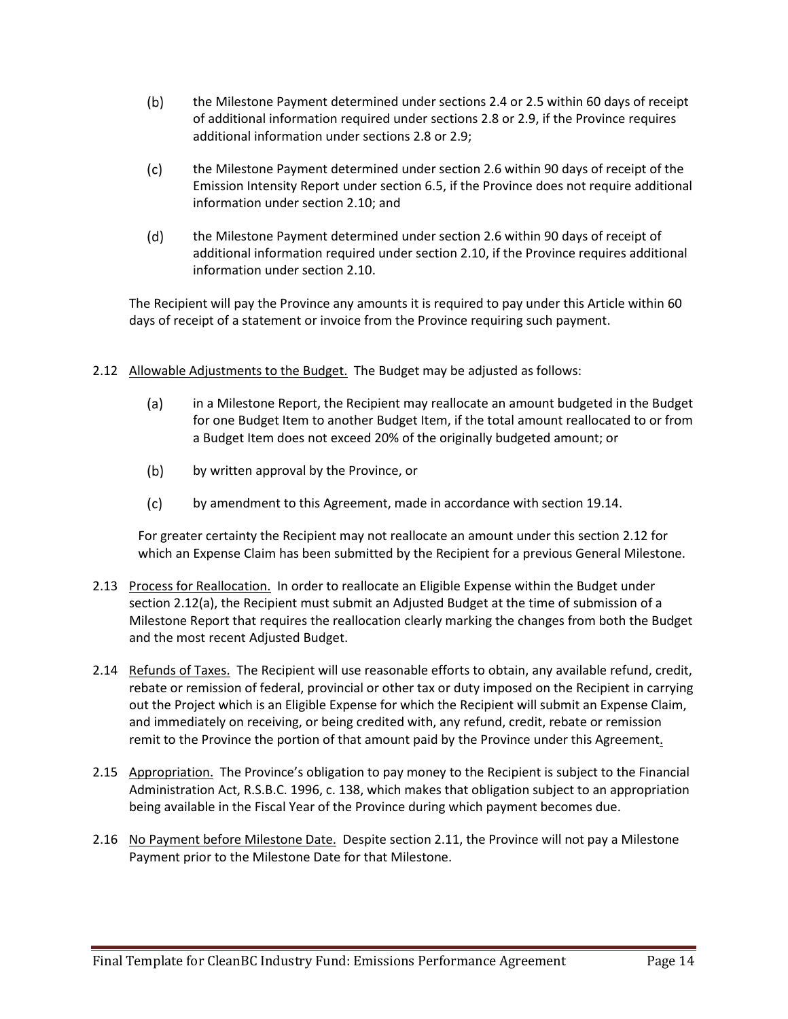- $(b)$ the Milestone Payment determined under sections 2.4 or 2.5 within 60 days of receipt of additional information required under sections 2.8 or 2.9, if the Province requires additional information under sections 2.8 or 2.9;
- $(c)$ the Milestone Payment determined under section 2.6 within 90 days of receipt of the Emission Intensity Report under section 6.5, if the Province does not require additional information under section 2.10; and
- $(d)$ the Milestone Payment determined under section 2.6 within 90 days of receipt of additional information required under section 2.10, if the Province requires additional information under section 2.10.

The Recipient will pay the Province any amounts it is required to pay under this Article within 60 days of receipt of a statement or invoice from the Province requiring such payment.

- 2.12 Allowable Adjustments to the Budget. The Budget may be adjusted as follows:
	- $(a)$ in a Milestone Report, the Recipient may reallocate an amount budgeted in the Budget for one Budget Item to another Budget Item, if the total amount reallocated to or from a Budget Item does not exceed 20% of the originally budgeted amount; or
	- $(b)$ by written approval by the Province, or
	- $(c)$ by amendment to this Agreement, made in accordance with section 19.14.

For greater certainty the Recipient may not reallocate an amount under this section 2.12 for which an Expense Claim has been submitted by the Recipient for a previous General Milestone.

- 2.13 Process for Reallocation. In order to reallocate an Eligible Expense within the Budget under section 2.12(a), the Recipient must submit an Adjusted Budget at the time of submission of a Milestone Report that requires the reallocation clearly marking the changes from both the Budget and the most recent Adjusted Budget.
- 2.14 Refunds of Taxes. The Recipient will use reasonable efforts to obtain, any available refund, credit, rebate or remission of federal, provincial or other tax or duty imposed on the Recipient in carrying out the Project which is an Eligible Expense for which the Recipient will submit an Expense Claim, and immediately on receiving, or being credited with, any refund, credit, rebate or remission remit to the Province the portion of that amount paid by the Province under this Agreement.
- 2.15 Appropriation. The Province's obligation to pay money to the Recipient is subject to the Financial Administration Act, R.S.B.C. 1996, c. 138, which makes that obligation subject to an appropriation being available in the Fiscal Year of the Province during which payment becomes due.
- 2.16 No Payment before Milestone Date. Despite section 2.11, the Province will not pay a Milestone Payment prior to the Milestone Date for that Milestone.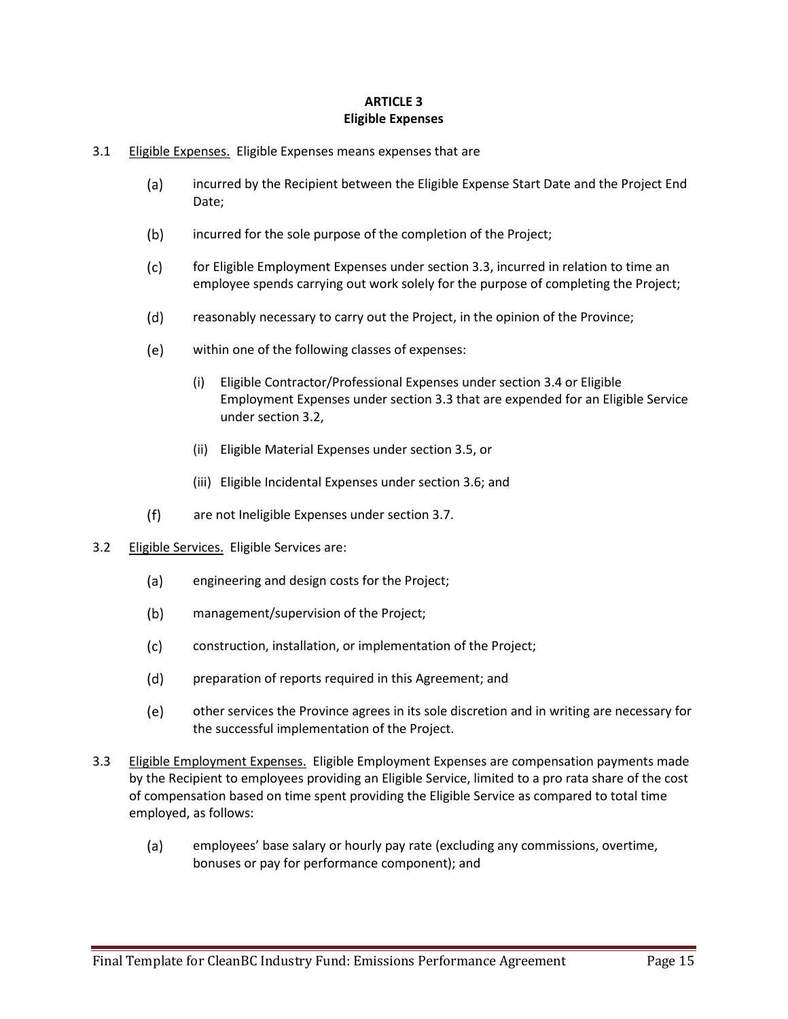### **ARTICLE 3 Eligible Expenses**

- 3.1 Eligible Expenses. Eligible Expenses means expenses that are
	- $(a)$ incurred by the Recipient between the Eligible Expense Start Date and the Project End Date;
	- $(b)$ incurred for the sole purpose of the completion of the Project;
	- $(c)$ for Eligible Employment Expenses under section 3.3, incurred in relation to time an employee spends carrying out work solely for the purpose of completing the Project;
	- $(d)$ reasonably necessary to carry out the Project, in the opinion of the Province;
	- $(e)$ within one of the following classes of expenses:
		- (i) Eligible Contractor/Professional Expenses under section 3.4 or Eligible Employment Expenses under section 3.3 that are expended for an Eligible Service under section 3.2,
		- (ii) Eligible Material Expenses under section 3.5, or
		- (iii) Eligible Incidental Expenses under section 3.6; and
	- $(f)$ are not Ineligible Expenses under section 3.7.
- 3.2 Eligible Services. Eligible Services are:
	- engineering and design costs for the Project;  $(a)$
	- $(b)$ management/supervision of the Project;
	- $(c)$ construction, installation, or implementation of the Project;
	- $(d)$ preparation of reports required in this Agreement; and
	- $(e)$ other services the Province agrees in its sole discretion and in writing are necessary for the successful implementation of the Project.
- 3.3 Eligible Employment Expenses. Eligible Employment Expenses are compensation payments made by the Recipient to employees providing an Eligible Service, limited to a pro rata share of the cost of compensation based on time spent providing the Eligible Service as compared to total time employed, as follows:
	- $(a)$ employees' base salary or hourly pay rate (excluding any commissions, overtime, bonuses or pay for performance component); and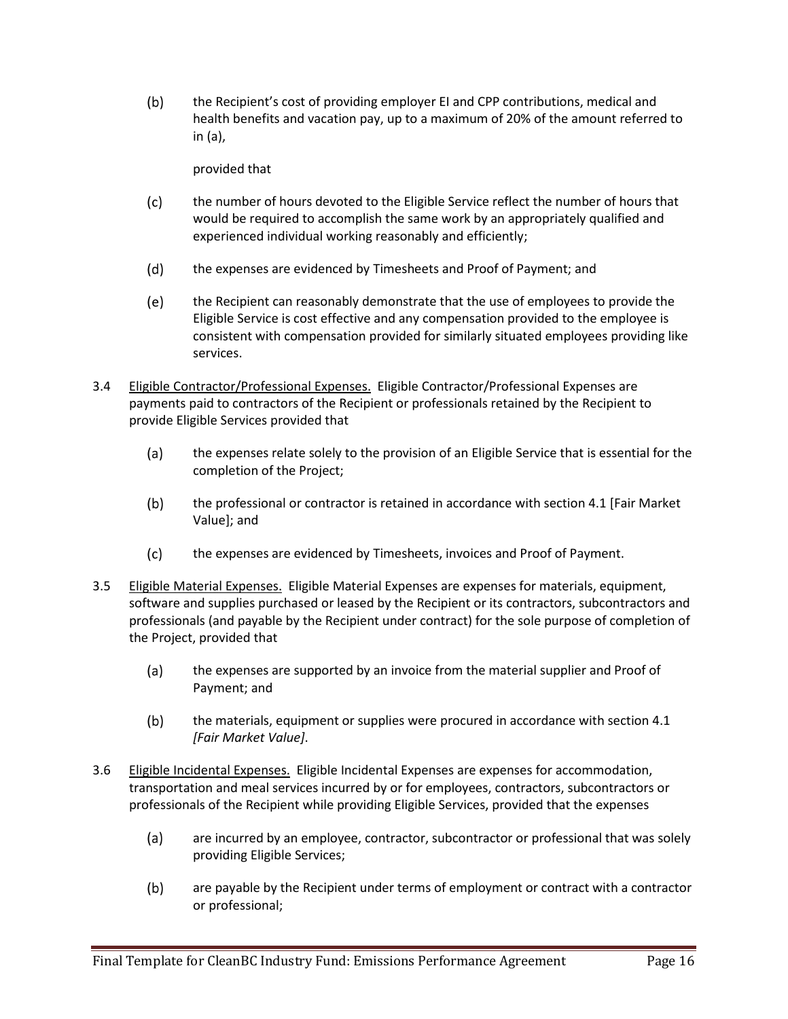$(b)$ the Recipient's cost of providing employer EI and CPP contributions, medical and health benefits and vacation pay, up to a maximum of 20% of the amount referred to in (a),

provided that

- $(c)$ the number of hours devoted to the Eligible Service reflect the number of hours that would be required to accomplish the same work by an appropriately qualified and experienced individual working reasonably and efficiently;
- $(d)$ the expenses are evidenced by Timesheets and Proof of Payment; and
- $(e)$ the Recipient can reasonably demonstrate that the use of employees to provide the Eligible Service is cost effective and any compensation provided to the employee is consistent with compensation provided for similarly situated employees providing like services.
- 3.4 Eligible Contractor/Professional Expenses. Eligible Contractor/Professional Expenses are payments paid to contractors of the Recipient or professionals retained by the Recipient to provide Eligible Services provided that
	- the expenses relate solely to the provision of an Eligible Service that is essential for the  $(a)$ completion of the Project;
	- $(b)$ the professional or contractor is retained in accordance with section 4.1 [Fair Market Value]; and
	- $(c)$ the expenses are evidenced by Timesheets, invoices and Proof of Payment.
- 3.5 Eligible Material Expenses. Eligible Material Expenses are expenses for materials, equipment, software and supplies purchased or leased by the Recipient or its contractors, subcontractors and professionals (and payable by the Recipient under contract) for the sole purpose of completion of the Project, provided that
	- $(a)$ the expenses are supported by an invoice from the material supplier and Proof of Payment; and
	- $(b)$ the materials, equipment or supplies were procured in accordance with section 4.1 *[Fair Market Value]*.
- 3.6 Eligible Incidental Expenses. Eligible Incidental Expenses are expenses for accommodation, transportation and meal services incurred by or for employees, contractors, subcontractors or professionals of the Recipient while providing Eligible Services, provided that the expenses
	- $(a)$ are incurred by an employee, contractor, subcontractor or professional that was solely providing Eligible Services;
	- are payable by the Recipient under terms of employment or contract with a contractor  $(b)$ or professional;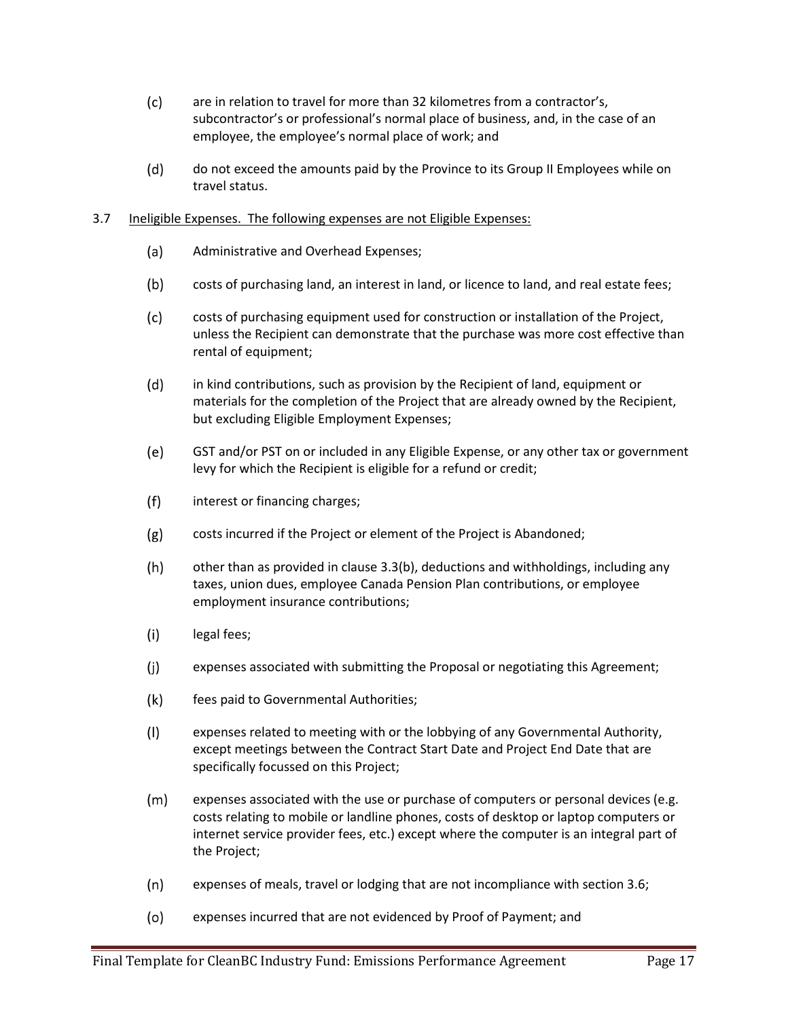- $(c)$ are in relation to travel for more than 32 kilometres from a contractor's, subcontractor's or professional's normal place of business, and, in the case of an employee, the employee's normal place of work; and
- $(d)$ do not exceed the amounts paid by the Province to its Group II Employees while on travel status.

#### 3.7 Ineligible Expenses. The following expenses are not Eligible Expenses:

- $(a)$ Administrative and Overhead Expenses;
- $(b)$ costs of purchasing land, an interest in land, or licence to land, and real estate fees;
- $(c)$ costs of purchasing equipment used for construction or installation of the Project, unless the Recipient can demonstrate that the purchase was more cost effective than rental of equipment;
- $(d)$ in kind contributions, such as provision by the Recipient of land, equipment or materials for the completion of the Project that are already owned by the Recipient, but excluding Eligible Employment Expenses;
- (e) GST and/or PST on or included in any Eligible Expense, or any other tax or government levy for which the Recipient is eligible for a refund or credit;
- $(f)$ interest or financing charges;
- $(g)$ costs incurred if the Project or element of the Project is Abandoned;
- $(h)$ other than as provided in clause 3.3(b), deductions and withholdings, including any taxes, union dues, employee Canada Pension Plan contributions, or employee employment insurance contributions;
- $(i)$ legal fees;
- $(j)$ expenses associated with submitting the Proposal or negotiating this Agreement;
- $(k)$ fees paid to Governmental Authorities;
- $(1)$ expenses related to meeting with or the lobbying of any Governmental Authority, except meetings between the Contract Start Date and Project End Date that are specifically focussed on this Project;
- $(m)$ expenses associated with the use or purchase of computers or personal devices (e.g. costs relating to mobile or landline phones, costs of desktop or laptop computers or internet service provider fees, etc.) except where the computer is an integral part of the Project;
- $(n)$ expenses of meals, travel or lodging that are not incompliance with section 3.6;
- $(o)$ expenses incurred that are not evidenced by Proof of Payment; and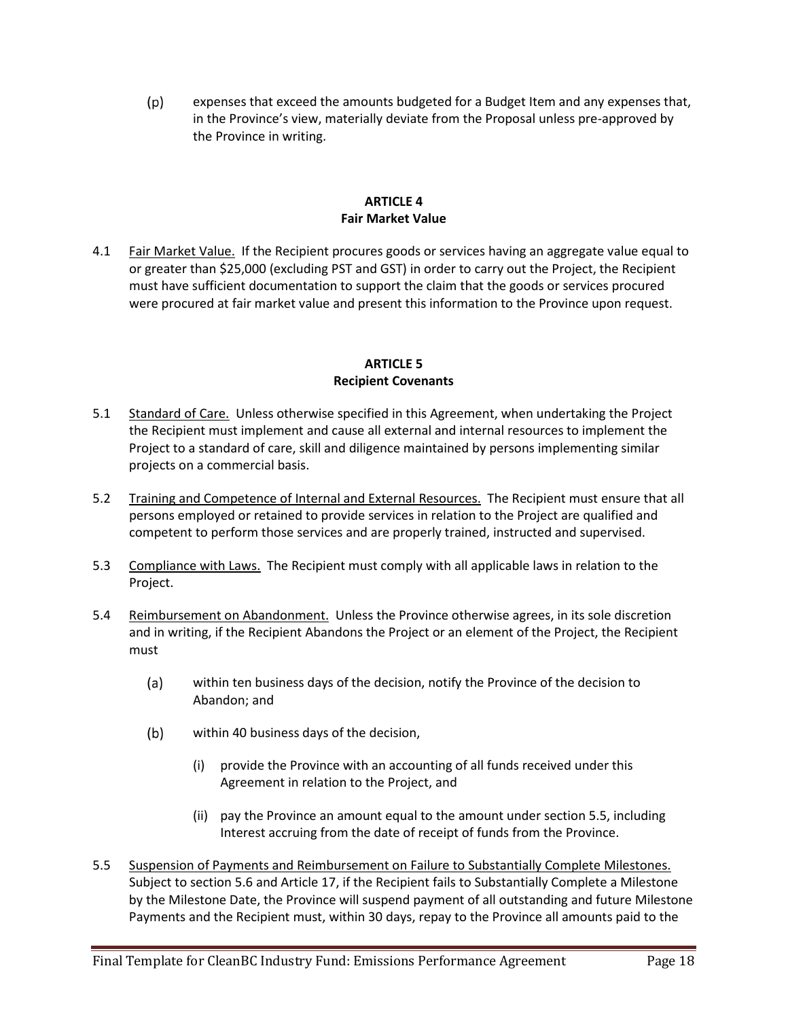$(p)$ expenses that exceed the amounts budgeted for a Budget Item and any expenses that, in the Province's view, materially deviate from the Proposal unless pre-approved by the Province in writing.

#### **ARTICLE 4 Fair Market Value**

4.1 Fair Market Value. If the Recipient procures goods or services having an aggregate value equal to or greater than \$25,000 (excluding PST and GST) in order to carry out the Project, the Recipient must have sufficient documentation to support the claim that the goods or services procured were procured at fair market value and present this information to the Province upon request.

## **ARTICLE 5 Recipient Covenants**

- 5.1 Standard of Care. Unless otherwise specified in this Agreement, when undertaking the Project the Recipient must implement and cause all external and internal resources to implement the Project to a standard of care, skill and diligence maintained by persons implementing similar projects on a commercial basis.
- 5.2 Training and Competence of Internal and External Resources. The Recipient must ensure that all persons employed or retained to provide services in relation to the Project are qualified and competent to perform those services and are properly trained, instructed and supervised.
- 5.3 Compliance with Laws. The Recipient must comply with all applicable laws in relation to the Project.
- 5.4 Reimbursement on Abandonment. Unless the Province otherwise agrees, in its sole discretion and in writing, if the Recipient Abandons the Project or an element of the Project, the Recipient must
	- $(a)$ within ten business days of the decision, notify the Province of the decision to Abandon; and
	- $(b)$ within 40 business days of the decision,
		- (i) provide the Province with an accounting of all funds received under this Agreement in relation to the Project, and
		- (ii) pay the Province an amount equal to the amount under section 5.5, including Interest accruing from the date of receipt of funds from the Province.
- 5.5 Suspension of Payments and Reimbursement on Failure to Substantially Complete Milestones. Subject to section 5.6 and Article 17, if the Recipient fails to Substantially Complete a Milestone by the Milestone Date, the Province will suspend payment of all outstanding and future Milestone Payments and the Recipient must, within 30 days, repay to the Province all amounts paid to the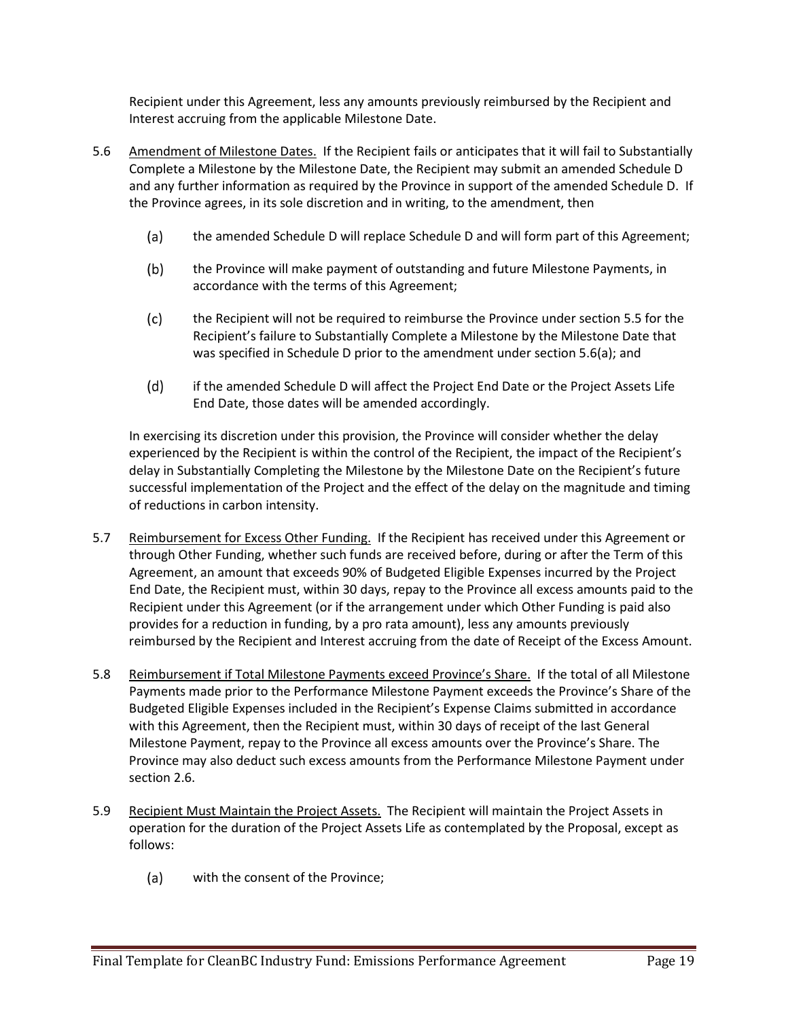Recipient under this Agreement, less any amounts previously reimbursed by the Recipient and Interest accruing from the applicable Milestone Date.

- 5.6 Amendment of Milestone Dates. If the Recipient fails or anticipates that it will fail to Substantially Complete a Milestone by the Milestone Date, the Recipient may submit an amended Schedule D and any further information as required by the Province in support of the amended Schedule D. If the Province agrees, in its sole discretion and in writing, to the amendment, then
	- the amended Schedule D will replace Schedule D and will form part of this Agreement;  $(a)$
	- $(b)$ the Province will make payment of outstanding and future Milestone Payments, in accordance with the terms of this Agreement;
	- $(c)$ the Recipient will not be required to reimburse the Province under section 5.5 for the Recipient's failure to Substantially Complete a Milestone by the Milestone Date that was specified in Schedule D prior to the amendment under section 5.6(a); and
	- $(d)$ if the amended Schedule D will affect the Project End Date or the Project Assets Life End Date, those dates will be amended accordingly.

In exercising its discretion under this provision, the Province will consider whether the delay experienced by the Recipient is within the control of the Recipient, the impact of the Recipient's delay in Substantially Completing the Milestone by the Milestone Date on the Recipient's future successful implementation of the Project and the effect of the delay on the magnitude and timing of reductions in carbon intensity.

- 5.7 Reimbursement for Excess Other Funding. If the Recipient has received under this Agreement or through Other Funding, whether such funds are received before, during or after the Term of this Agreement, an amount that exceeds 90% of Budgeted Eligible Expenses incurred by the Project End Date, the Recipient must, within 30 days, repay to the Province all excess amounts paid to the Recipient under this Agreement (or if the arrangement under which Other Funding is paid also provides for a reduction in funding, by a pro rata amount), less any amounts previously reimbursed by the Recipient and Interest accruing from the date of Receipt of the Excess Amount.
- 5.8 Reimbursement if Total Milestone Payments exceed Province's Share. If the total of all Milestone Payments made prior to the Performance Milestone Payment exceeds the Province's Share of the Budgeted Eligible Expenses included in the Recipient's Expense Claims submitted in accordance with this Agreement, then the Recipient must, within 30 days of receipt of the last General Milestone Payment, repay to the Province all excess amounts over the Province's Share. The Province may also deduct such excess amounts from the Performance Milestone Payment under section 2.6.
- 5.9 Recipient Must Maintain the Project Assets. The Recipient will maintain the Project Assets in operation for the duration of the Project Assets Life as contemplated by the Proposal, except as follows:
	- $(a)$ with the consent of the Province;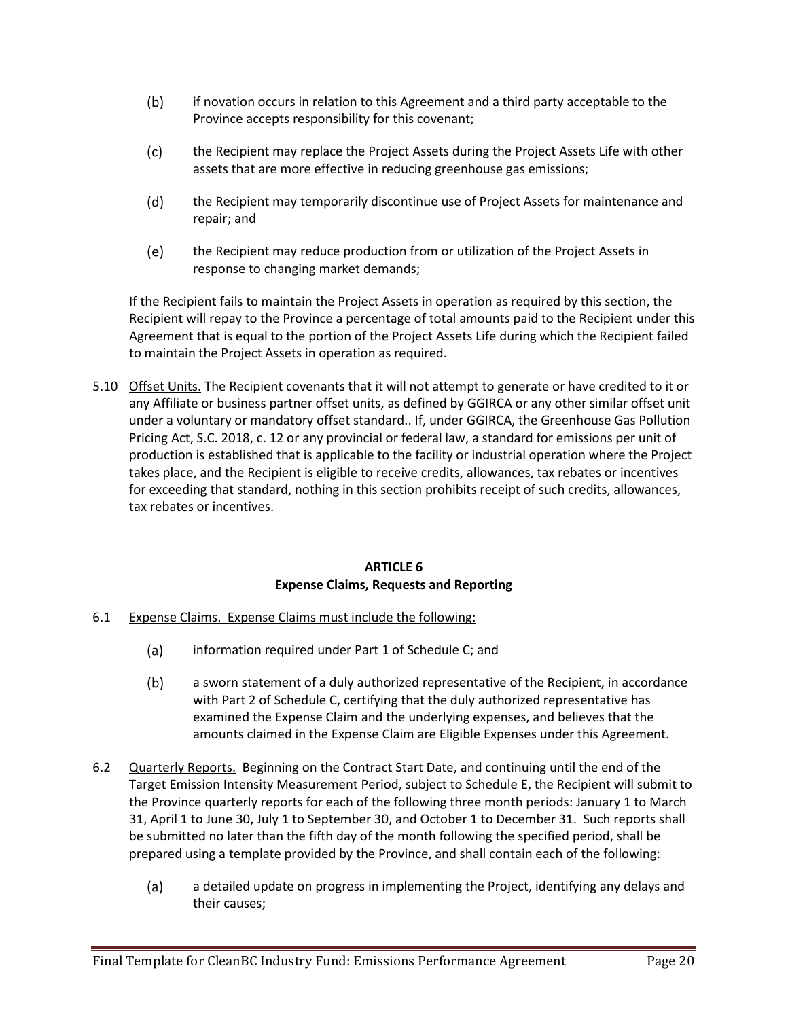- $(b)$ if novation occurs in relation to this Agreement and a third party acceptable to the Province accepts responsibility for this covenant;
- $(c)$ the Recipient may replace the Project Assets during the Project Assets Life with other assets that are more effective in reducing greenhouse gas emissions;
- $(d)$ the Recipient may temporarily discontinue use of Project Assets for maintenance and repair; and
- (e) the Recipient may reduce production from or utilization of the Project Assets in response to changing market demands;

If the Recipient fails to maintain the Project Assets in operation as required by this section, the Recipient will repay to the Province a percentage of total amounts paid to the Recipient under this Agreement that is equal to the portion of the Project Assets Life during which the Recipient failed to maintain the Project Assets in operation as required.

5.10 Offset Units. The Recipient covenants that it will not attempt to generate or have credited to it or any Affiliate or business partner offset units, as defined by GGIRCA or any other similar offset unit under a voluntary or mandatory offset standard.. If, under GGIRCA, the Greenhouse Gas Pollution Pricing Act, S.C. 2018, c. 12 or any provincial or federal law, a standard for emissions per unit of production is established that is applicable to the facility or industrial operation where the Project takes place, and the Recipient is eligible to receive credits, allowances, tax rebates or incentives for exceeding that standard, nothing in this section prohibits receipt of such credits, allowances, tax rebates or incentives.

## **ARTICLE 6 Expense Claims, Requests and Reporting**

- 6.1 Expense Claims. Expense Claims must include the following:
	- $(a)$ information required under Part 1 of Schedule C; and
	- $(b)$ a sworn statement of a duly authorized representative of the Recipient, in accordance with Part 2 of Schedule C, certifying that the duly authorized representative has examined the Expense Claim and the underlying expenses, and believes that the amounts claimed in the Expense Claim are Eligible Expenses under this Agreement.
- 6.2 Quarterly Reports. Beginning on the Contract Start Date, and continuing until the end of the Target Emission Intensity Measurement Period, subject to Schedule E, the Recipient will submit to the Province quarterly reports for each of the following three month periods: January 1 to March 31, April 1 to June 30, July 1 to September 30, and October 1 to December 31. Such reports shall be submitted no later than the fifth day of the month following the specified period, shall be prepared using a template provided by the Province, and shall contain each of the following:
	- $(a)$ a detailed update on progress in implementing the Project, identifying any delays and their causes;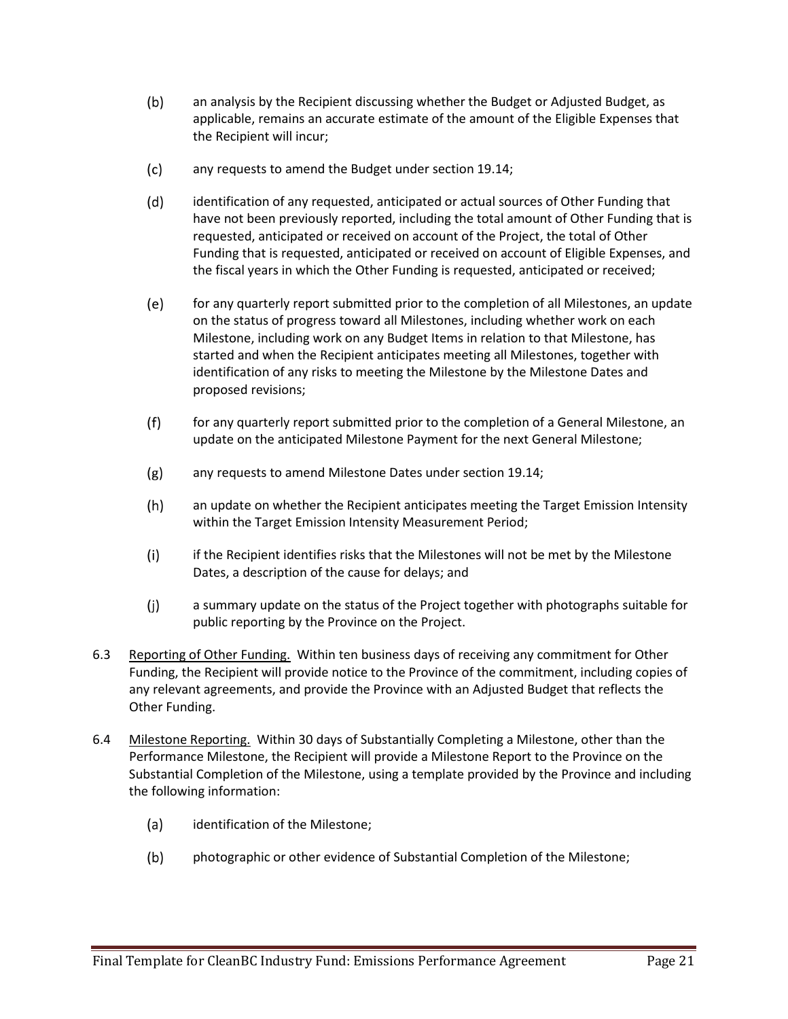- $(b)$ an analysis by the Recipient discussing whether the Budget or Adjusted Budget, as applicable, remains an accurate estimate of the amount of the Eligible Expenses that the Recipient will incur;
- $(c)$ any requests to amend the Budget under section 19.14;
- $(d)$ identification of any requested, anticipated or actual sources of Other Funding that have not been previously reported, including the total amount of Other Funding that is requested, anticipated or received on account of the Project, the total of Other Funding that is requested, anticipated or received on account of Eligible Expenses, and the fiscal years in which the Other Funding is requested, anticipated or received;
- $(e)$ for any quarterly report submitted prior to the completion of all Milestones, an update on the status of progress toward all Milestones, including whether work on each Milestone, including work on any Budget Items in relation to that Milestone, has started and when the Recipient anticipates meeting all Milestones, together with identification of any risks to meeting the Milestone by the Milestone Dates and proposed revisions;
- $(f)$ for any quarterly report submitted prior to the completion of a General Milestone, an update on the anticipated Milestone Payment for the next General Milestone;
- $(g)$ any requests to amend Milestone Dates under section 19.14;
- $(h)$ an update on whether the Recipient anticipates meeting the Target Emission Intensity within the Target Emission Intensity Measurement Period;
- $(i)$ if the Recipient identifies risks that the Milestones will not be met by the Milestone Dates, a description of the cause for delays; and
- $(j)$ a summary update on the status of the Project together with photographs suitable for public reporting by the Province on the Project.
- 6.3 Reporting of Other Funding. Within ten business days of receiving any commitment for Other Funding, the Recipient will provide notice to the Province of the commitment, including copies of any relevant agreements, and provide the Province with an Adjusted Budget that reflects the Other Funding.
- 6.4 Milestone Reporting. Within 30 days of Substantially Completing a Milestone, other than the Performance Milestone, the Recipient will provide a Milestone Report to the Province on the Substantial Completion of the Milestone, using a template provided by the Province and including the following information:
	- $(a)$ identification of the Milestone;
	- $(b)$ photographic or other evidence of Substantial Completion of the Milestone;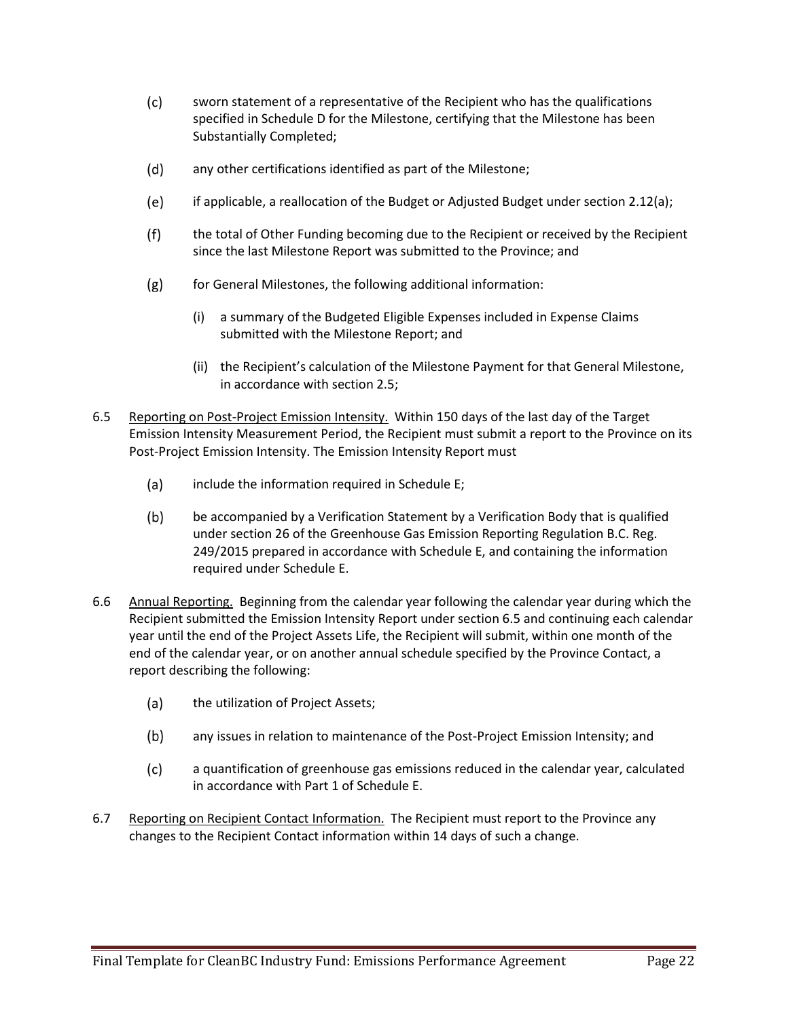- $(c)$ sworn statement of a representative of the Recipient who has the qualifications specified in Schedule D for the Milestone, certifying that the Milestone has been Substantially Completed;
- $(d)$ any other certifications identified as part of the Milestone;
- if applicable, a reallocation of the Budget or Adjusted Budget under section 2.12(a); (e)
- $(f)$ the total of Other Funding becoming due to the Recipient or received by the Recipient since the last Milestone Report was submitted to the Province; and
- $(g)$ for General Milestones, the following additional information:
	- (i) a summary of the Budgeted Eligible Expenses included in Expense Claims submitted with the Milestone Report; and
	- (ii) the Recipient's calculation of the Milestone Payment for that General Milestone, in accordance with section 2.5;
- 6.5 Reporting on Post-Project Emission Intensity. Within 150 days of the last day of the Target Emission Intensity Measurement Period, the Recipient must submit a report to the Province on its Post-Project Emission Intensity. The Emission Intensity Report must
	- include the information required in Schedule E;  $(a)$
	- $(b)$ be accompanied by a Verification Statement by a Verification Body that is qualified under section 26 of the Greenhouse Gas Emission Reporting Regulation B.C. Reg. 249/2015 prepared in accordance with Schedule E, and containing the information required under Schedule E.
- 6.6 Annual Reporting. Beginning from the calendar year following the calendar year during which the Recipient submitted the Emission Intensity Report under section 6.5 and continuing each calendar year until the end of the Project Assets Life, the Recipient will submit, within one month of the end of the calendar year, or on another annual schedule specified by the Province Contact, a report describing the following:
	- $(a)$ the utilization of Project Assets;
	- $(b)$ any issues in relation to maintenance of the Post-Project Emission Intensity; and
	- $(c)$ a quantification of greenhouse gas emissions reduced in the calendar year, calculated in accordance with Part 1 of Schedule E.
- 6.7 Reporting on Recipient Contact Information. The Recipient must report to the Province any changes to the Recipient Contact information within 14 days of such a change.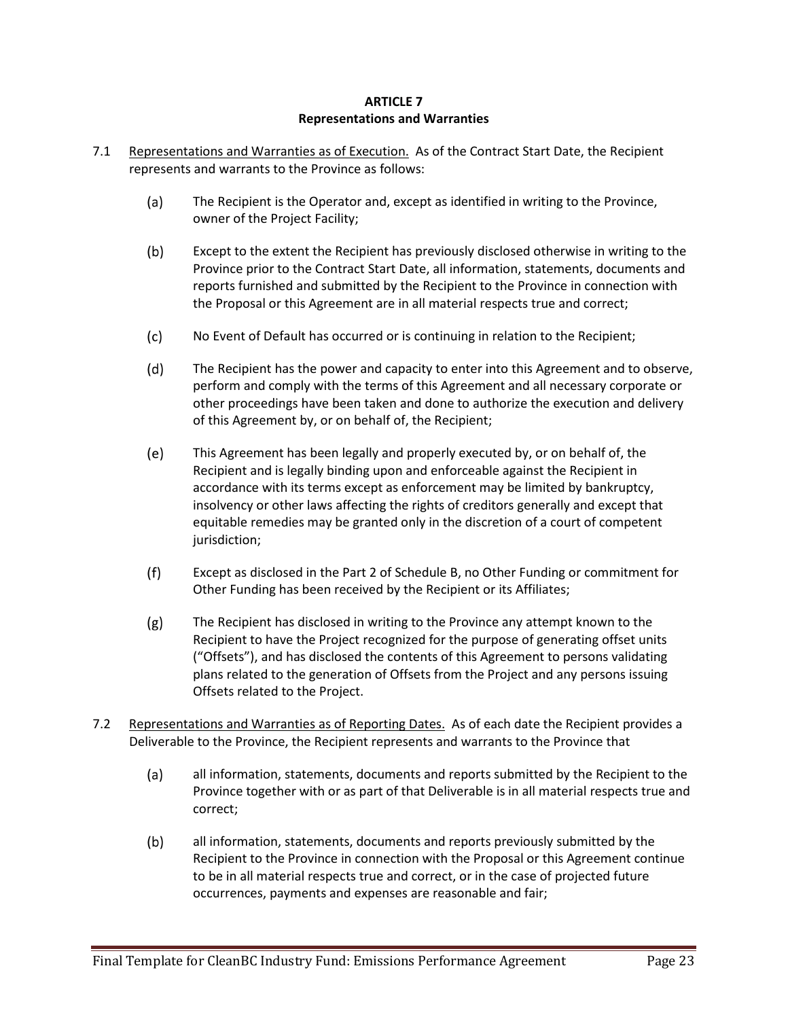#### **ARTICLE 7 Representations and Warranties**

- 7.1 Representations and Warranties as of Execution. As of the Contract Start Date, the Recipient represents and warrants to the Province as follows:
	- $(a)$ The Recipient is the Operator and, except as identified in writing to the Province, owner of the Project Facility;
	- $(b)$ Except to the extent the Recipient has previously disclosed otherwise in writing to the Province prior to the Contract Start Date, all information, statements, documents and reports furnished and submitted by the Recipient to the Province in connection with the Proposal or this Agreement are in all material respects true and correct;
	- $(c)$ No Event of Default has occurred or is continuing in relation to the Recipient;
	- $(d)$ The Recipient has the power and capacity to enter into this Agreement and to observe, perform and comply with the terms of this Agreement and all necessary corporate or other proceedings have been taken and done to authorize the execution and delivery of this Agreement by, or on behalf of, the Recipient;
	- $(e)$ This Agreement has been legally and properly executed by, or on behalf of, the Recipient and is legally binding upon and enforceable against the Recipient in accordance with its terms except as enforcement may be limited by bankruptcy, insolvency or other laws affecting the rights of creditors generally and except that equitable remedies may be granted only in the discretion of a court of competent jurisdiction;
	- $(f)$ Except as disclosed in the Part 2 of Schedule B, no Other Funding or commitment for Other Funding has been received by the Recipient or its Affiliates;
	- $(g)$ The Recipient has disclosed in writing to the Province any attempt known to the Recipient to have the Project recognized for the purpose of generating offset units ("Offsets"), and has disclosed the contents of this Agreement to persons validating plans related to the generation of Offsets from the Project and any persons issuing Offsets related to the Project.
- 7.2 Representations and Warranties as of Reporting Dates. As of each date the Recipient provides a Deliverable to the Province, the Recipient represents and warrants to the Province that
	- $(a)$ all information, statements, documents and reports submitted by the Recipient to the Province together with or as part of that Deliverable is in all material respects true and correct;
	- $(b)$ all information, statements, documents and reports previously submitted by the Recipient to the Province in connection with the Proposal or this Agreement continue to be in all material respects true and correct, or in the case of projected future occurrences, payments and expenses are reasonable and fair;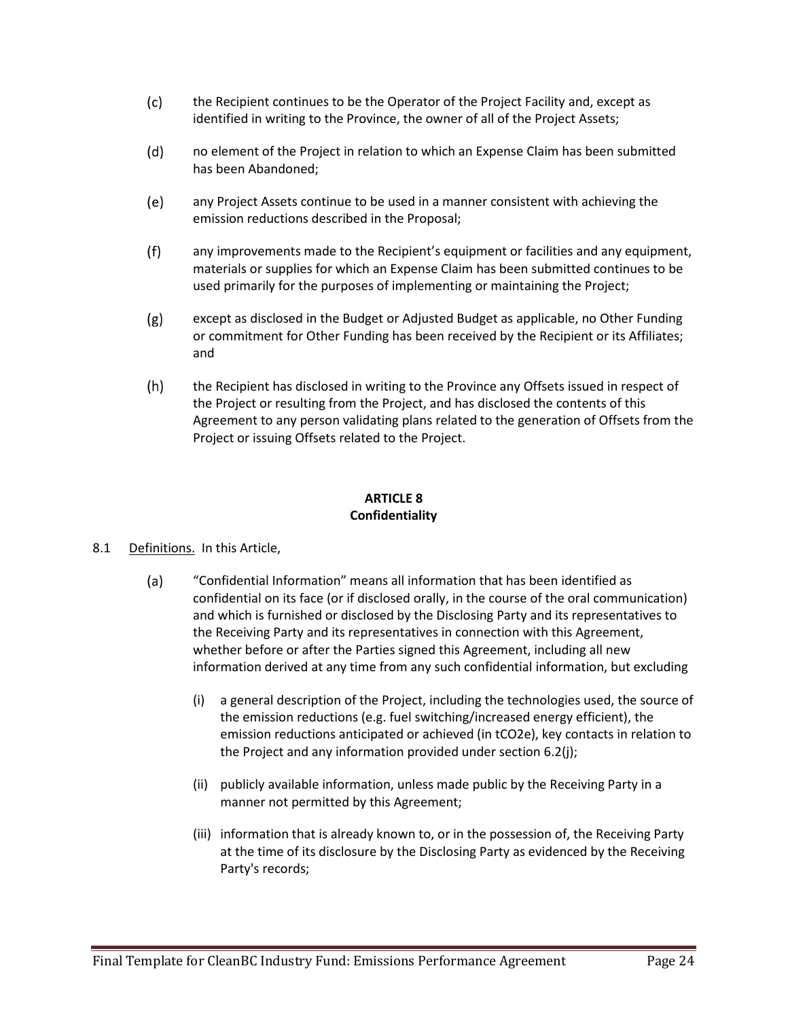- $(c)$ the Recipient continues to be the Operator of the Project Facility and, except as identified in writing to the Province, the owner of all of the Project Assets;
- $(d)$ no element of the Project in relation to which an Expense Claim has been submitted has been Abandoned;
- any Project Assets continue to be used in a manner consistent with achieving the (e) emission reductions described in the Proposal;
- $(f)$ any improvements made to the Recipient's equipment or facilities and any equipment, materials or supplies for which an Expense Claim has been submitted continues to be used primarily for the purposes of implementing or maintaining the Project;
- $(g)$ except as disclosed in the Budget or Adjusted Budget as applicable, no Other Funding or commitment for Other Funding has been received by the Recipient or its Affiliates; and
- $(h)$ the Recipient has disclosed in writing to the Province any Offsets issued in respect of the Project or resulting from the Project, and has disclosed the contents of this Agreement to any person validating plans related to the generation of Offsets from the Project or issuing Offsets related to the Project.

# **ARTICLE 8 Confidentiality**

- 8.1 Definitions. In this Article,
	- $(a)$ "Confidential Information" means all information that has been identified as confidential on its face (or if disclosed orally, in the course of the oral communication) and which is furnished or disclosed by the Disclosing Party and its representatives to the Receiving Party and its representatives in connection with this Agreement, whether before or after the Parties signed this Agreement, including all new information derived at any time from any such confidential information, but excluding
		- (i) a general description of the Project, including the technologies used, the source of the emission reductions (e.g. fuel switching/increased energy efficient), the emission reductions anticipated or achieved (in tCO2e), key contacts in relation to the Project and any information provided under section 6.2(j);
		- (ii) publicly available information, unless made public by the Receiving Party in a manner not permitted by this Agreement;
		- (iii) information that is already known to, or in the possession of, the Receiving Party at the time of its disclosure by the Disclosing Party as evidenced by the Receiving Party's records;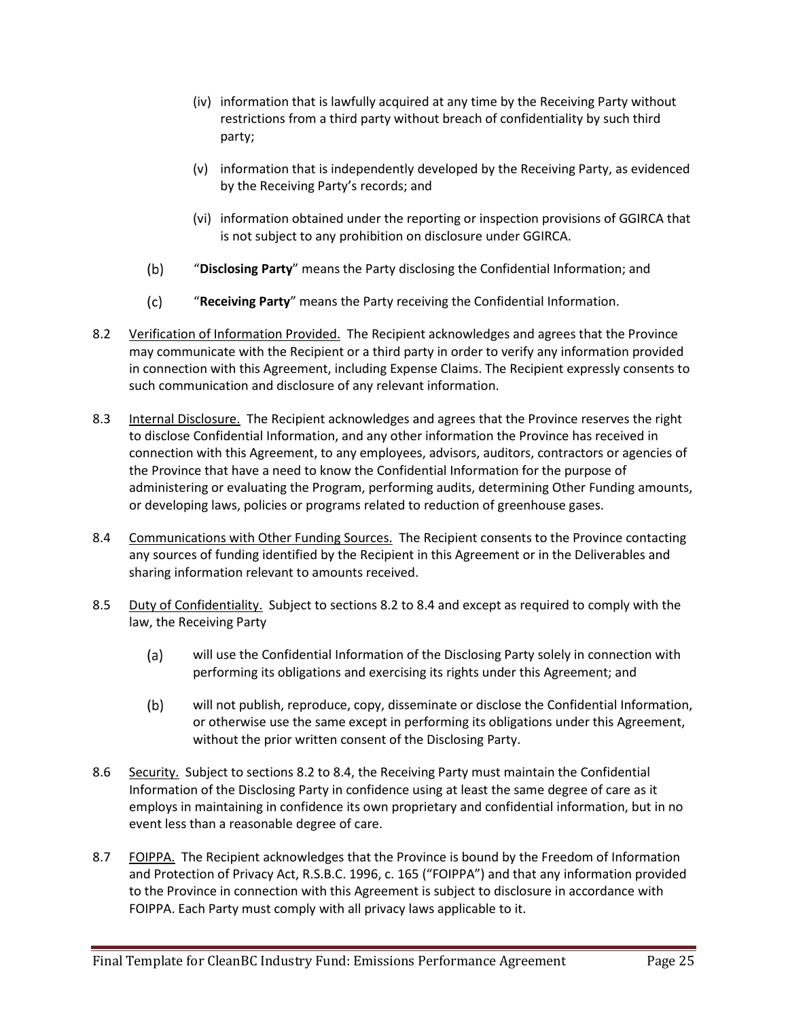- (iv) information that is lawfully acquired at any time by the Receiving Party without restrictions from a third party without breach of confidentiality by such third party;
- (v) information that is independently developed by the Receiving Party, as evidenced by the Receiving Party's records; and
- (vi) information obtained under the reporting or inspection provisions of GGIRCA that is not subject to any prohibition on disclosure under GGIRCA.
- $(b)$ "**Disclosing Party**" means the Party disclosing the Confidential Information; and
- $(c)$ "**Receiving Party**" means the Party receiving the Confidential Information.
- 8.2 Verification of Information Provided. The Recipient acknowledges and agrees that the Province may communicate with the Recipient or a third party in order to verify any information provided in connection with this Agreement, including Expense Claims. The Recipient expressly consents to such communication and disclosure of any relevant information.
- 8.3 Internal Disclosure. The Recipient acknowledges and agrees that the Province reserves the right to disclose Confidential Information, and any other information the Province has received in connection with this Agreement, to any employees, advisors, auditors, contractors or agencies of the Province that have a need to know the Confidential Information for the purpose of administering or evaluating the Program, performing audits, determining Other Funding amounts, or developing laws, policies or programs related to reduction of greenhouse gases.
- 8.4 Communications with Other Funding Sources. The Recipient consents to the Province contacting any sources of funding identified by the Recipient in this Agreement or in the Deliverables and sharing information relevant to amounts received.
- 8.5 Duty of Confidentiality. Subject to sections 8.2 to 8.4 and except as required to comply with the law, the Receiving Party
	- $(a)$ will use the Confidential Information of the Disclosing Party solely in connection with performing its obligations and exercising its rights under this Agreement; and
	- $(b)$ will not publish, reproduce, copy, disseminate or disclose the Confidential Information, or otherwise use the same except in performing its obligations under this Agreement, without the prior written consent of the Disclosing Party.
- 8.6 Security. Subject to sections 8.2 to 8.4, the Receiving Party must maintain the Confidential Information of the Disclosing Party in confidence using at least the same degree of care as it employs in maintaining in confidence its own proprietary and confidential information, but in no event less than a reasonable degree of care.
- 8.7 FOIPPA. The Recipient acknowledges that the Province is bound by the Freedom of Information and Protection of Privacy Act, R.S.B.C. 1996, c. 165 ("FOIPPA") and that any information provided to the Province in connection with this Agreement is subject to disclosure in accordance with FOIPPA. Each Party must comply with all privacy laws applicable to it.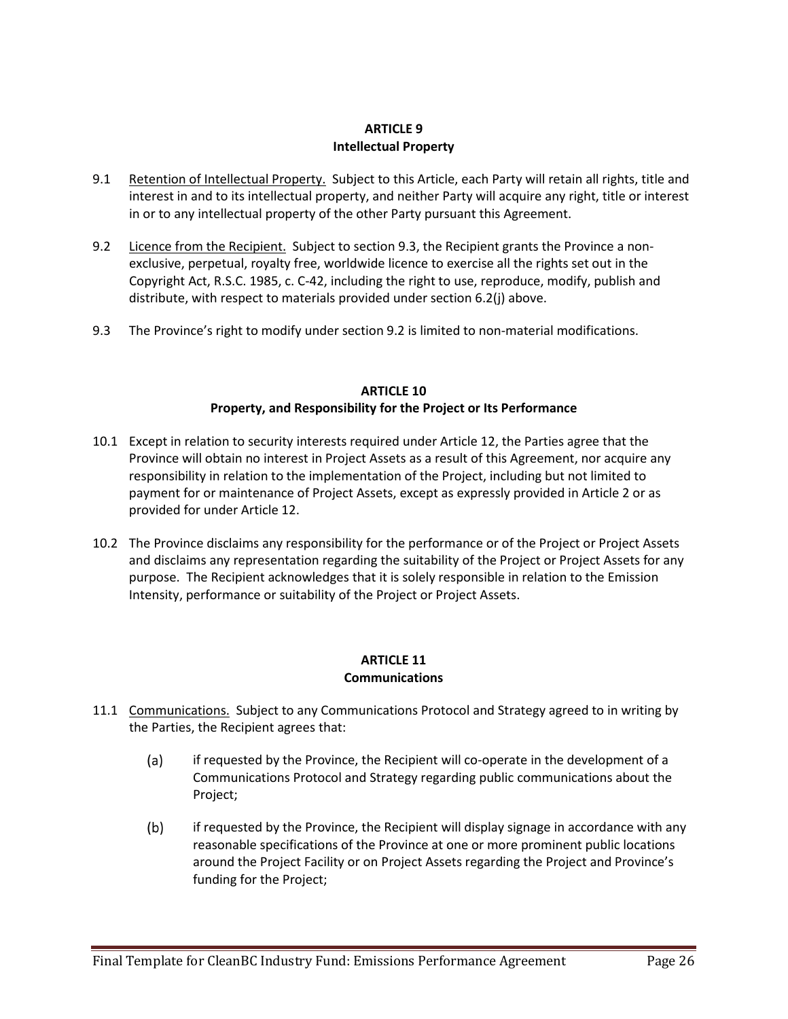### **ARTICLE 9 Intellectual Property**

- 9.1 Retention of Intellectual Property. Subject to this Article, each Party will retain all rights, title and interest in and to its intellectual property, and neither Party will acquire any right, title or interest in or to any intellectual property of the other Party pursuant this Agreement.
- 9.2 Licence from the Recipient. Subject to section 9.3, the Recipient grants the Province a nonexclusive, perpetual, royalty free, worldwide licence to exercise all the rights set out in the Copyright Act, R.S.C. 1985, c. C-42, including the right to use, reproduce, modify, publish and distribute, with respect to materials provided under section 6.2(j) above.
- 9.3 The Province's right to modify under section 9.2 is limited to non-material modifications.

## **ARTICLE 10 Property, and Responsibility for the Project or Its Performance**

- 10.1 Except in relation to security interests required under Article 12, the Parties agree that the Province will obtain no interest in Project Assets as a result of this Agreement, nor acquire any responsibility in relation to the implementation of the Project, including but not limited to payment for or maintenance of Project Assets, except as expressly provided in Article 2 or as provided for under Article 12.
- 10.2 The Province disclaims any responsibility for the performance or of the Project or Project Assets and disclaims any representation regarding the suitability of the Project or Project Assets for any purpose. The Recipient acknowledges that it is solely responsible in relation to the Emission Intensity, performance or suitability of the Project or Project Assets.

## **ARTICLE 11 Communications**

- 11.1 Communications. Subject to any Communications Protocol and Strategy agreed to in writing by the Parties, the Recipient agrees that:
	- $(a)$ if requested by the Province, the Recipient will co-operate in the development of a Communications Protocol and Strategy regarding public communications about the Project;
	- $(b)$ if requested by the Province, the Recipient will display signage in accordance with any reasonable specifications of the Province at one or more prominent public locations around the Project Facility or on Project Assets regarding the Project and Province's funding for the Project;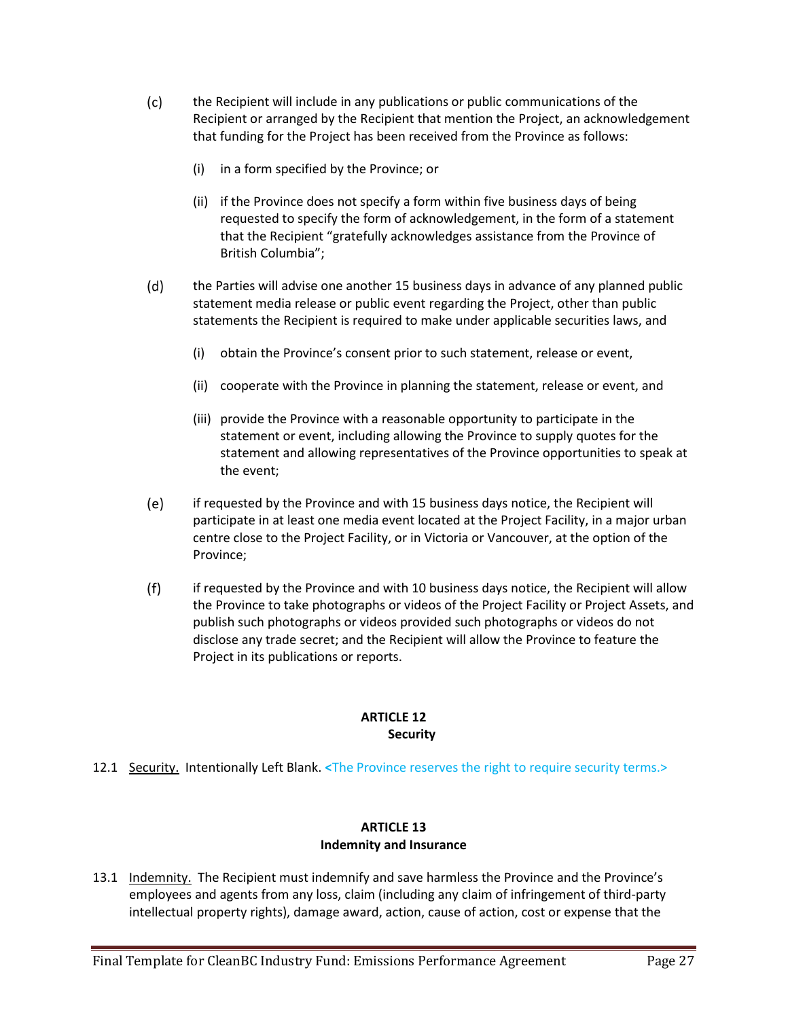- $(c)$ the Recipient will include in any publications or public communications of the Recipient or arranged by the Recipient that mention the Project, an acknowledgement that funding for the Project has been received from the Province as follows:
	- (i) in a form specified by the Province; or
	- (ii) if the Province does not specify a form within five business days of being requested to specify the form of acknowledgement, in the form of a statement that the Recipient "gratefully acknowledges assistance from the Province of British Columbia";
- $(d)$ the Parties will advise one another 15 business days in advance of any planned public statement media release or public event regarding the Project, other than public statements the Recipient is required to make under applicable securities laws, and
	- (i) obtain the Province's consent prior to such statement, release or event,
	- (ii) cooperate with the Province in planning the statement, release or event, and
	- (iii) provide the Province with a reasonable opportunity to participate in the statement or event, including allowing the Province to supply quotes for the statement and allowing representatives of the Province opportunities to speak at the event;
- $(e)$ if requested by the Province and with 15 business days notice, the Recipient will participate in at least one media event located at the Project Facility, in a major urban centre close to the Project Facility, or in Victoria or Vancouver, at the option of the Province;
- $(f)$ if requested by the Province and with 10 business days notice, the Recipient will allow the Province to take photographs or videos of the Project Facility or Project Assets, and publish such photographs or videos provided such photographs or videos do not disclose any trade secret; and the Recipient will allow the Province to feature the Project in its publications or reports.

#### **ARTICLE 12 Security**

12.1 Security. Intentionally Left Blank. **<**The Province reserves the right to require security terms.>

# **ARTICLE 13 Indemnity and Insurance**

13.1 Indemnity. The Recipient must indemnify and save harmless the Province and the Province's employees and agents from any loss, claim (including any claim of infringement of third-party intellectual property rights), damage award, action, cause of action, cost or expense that the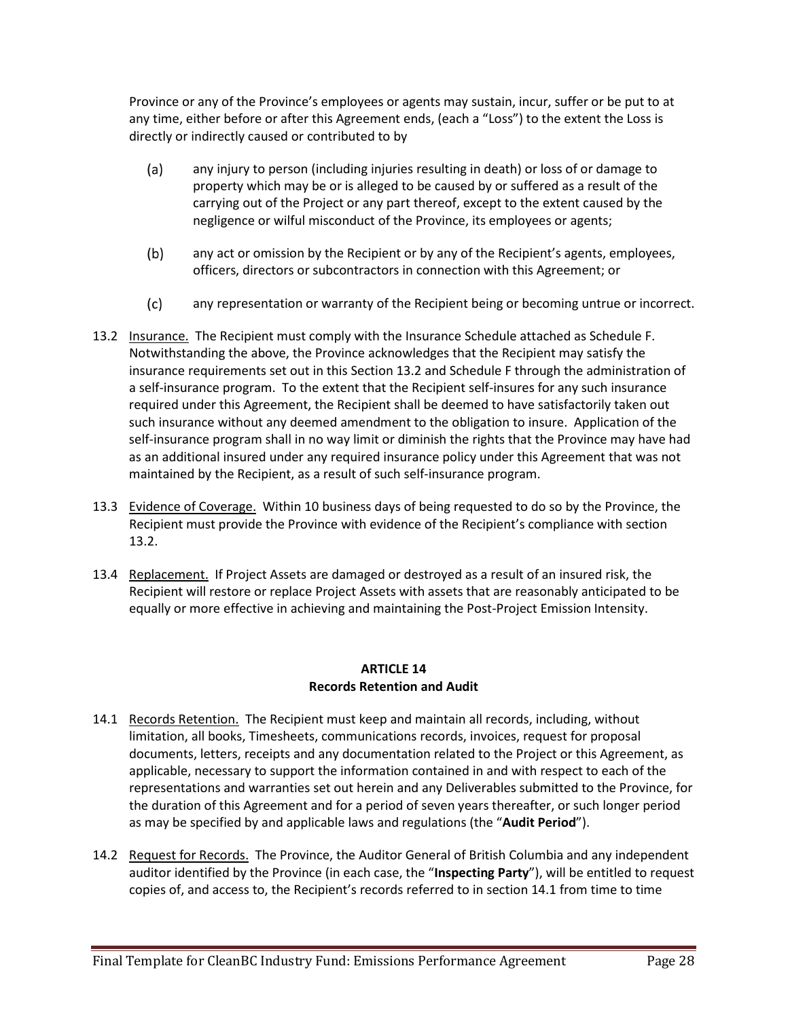Province or any of the Province's employees or agents may sustain, incur, suffer or be put to at any time, either before or after this Agreement ends, (each a "Loss") to the extent the Loss is directly or indirectly caused or contributed to by

- $(a)$ any injury to person (including injuries resulting in death) or loss of or damage to property which may be or is alleged to be caused by or suffered as a result of the carrying out of the Project or any part thereof, except to the extent caused by the negligence or wilful misconduct of the Province, its employees or agents;
- $(b)$ any act or omission by the Recipient or by any of the Recipient's agents, employees, officers, directors or subcontractors in connection with this Agreement; or
- $(c)$ any representation or warranty of the Recipient being or becoming untrue or incorrect.
- 13.2 Insurance. The Recipient must comply with the Insurance Schedule attached as Schedule F. Notwithstanding the above, the Province acknowledges that the Recipient may satisfy the insurance requirements set out in this Section 13.2 and Schedule F through the administration of a self-insurance program. To the extent that the Recipient self-insures for any such insurance required under this Agreement, the Recipient shall be deemed to have satisfactorily taken out such insurance without any deemed amendment to the obligation to insure. Application of the self-insurance program shall in no way limit or diminish the rights that the Province may have had as an additional insured under any required insurance policy under this Agreement that was not maintained by the Recipient, as a result of such self-insurance program.
- 13.3 Evidence of Coverage. Within 10 business days of being requested to do so by the Province, the Recipient must provide the Province with evidence of the Recipient's compliance with section 13.2.
- 13.4 Replacement. If Project Assets are damaged or destroyed as a result of an insured risk, the Recipient will restore or replace Project Assets with assets that are reasonably anticipated to be equally or more effective in achieving and maintaining the Post-Project Emission Intensity.

## **ARTICLE 14 Records Retention and Audit**

- 14.1 Records Retention. The Recipient must keep and maintain all records, including, without limitation, all books, Timesheets, communications records, invoices, request for proposal documents, letters, receipts and any documentation related to the Project or this Agreement, as applicable, necessary to support the information contained in and with respect to each of the representations and warranties set out herein and any Deliverables submitted to the Province, for the duration of this Agreement and for a period of seven years thereafter, or such longer period as may be specified by and applicable laws and regulations (the "**Audit Period**").
- 14.2 Request for Records. The Province, the Auditor General of British Columbia and any independent auditor identified by the Province (in each case, the "**Inspecting Party**"), will be entitled to request copies of, and access to, the Recipient's records referred to in section 14.1 from time to time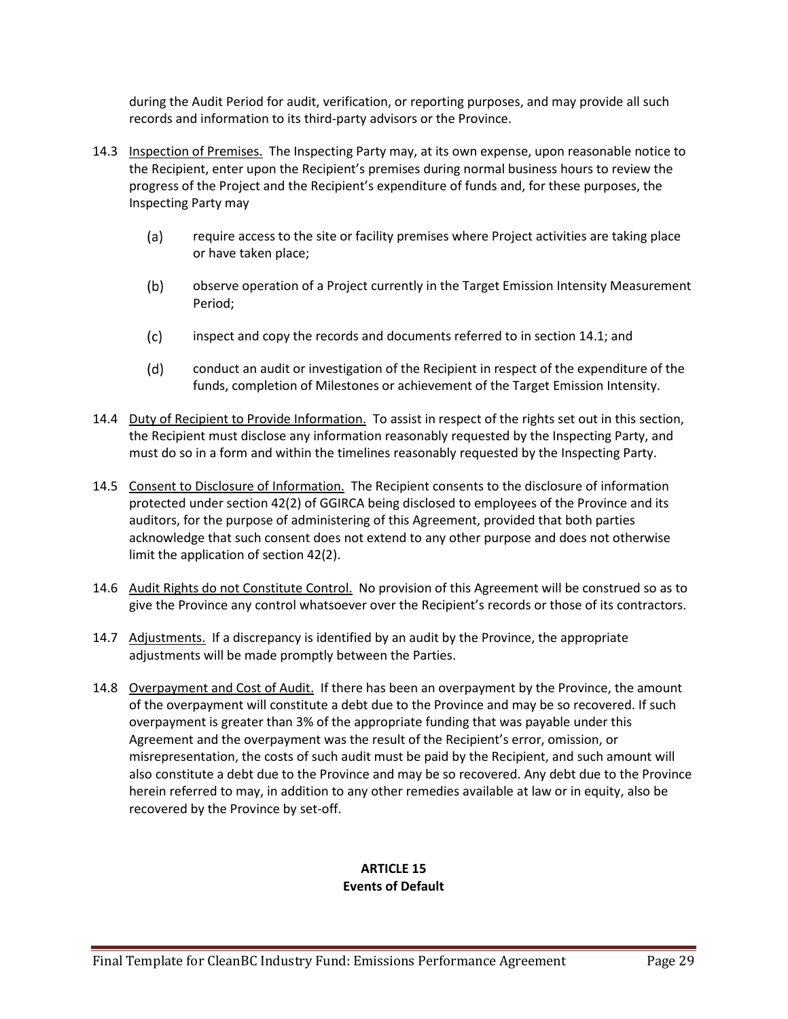during the Audit Period for audit, verification, or reporting purposes, and may provide all such records and information to its third-party advisors or the Province.

- 14.3 Inspection of Premises. The Inspecting Party may, at its own expense, upon reasonable notice to the Recipient, enter upon the Recipient's premises during normal business hours to review the progress of the Project and the Recipient's expenditure of funds and, for these purposes, the Inspecting Party may
	- require access to the site or facility premises where Project activities are taking place  $(a)$ or have taken place;
	- $(b)$ observe operation of a Project currently in the Target Emission Intensity Measurement Period;
	- $(c)$ inspect and copy the records and documents referred to in section 14.1; and
	- $(d)$ conduct an audit or investigation of the Recipient in respect of the expenditure of the funds, completion of Milestones or achievement of the Target Emission Intensity.
- 14.4 Duty of Recipient to Provide Information. To assist in respect of the rights set out in this section, the Recipient must disclose any information reasonably requested by the Inspecting Party, and must do so in a form and within the timelines reasonably requested by the Inspecting Party.
- 14.5 Consent to Disclosure of Information. The Recipient consents to the disclosure of information protected under section 42(2) of GGIRCA being disclosed to employees of the Province and its auditors, for the purpose of administering of this Agreement, provided that both parties acknowledge that such consent does not extend to any other purpose and does not otherwise limit the application of section 42(2).
- 14.6 Audit Rights do not Constitute Control. No provision of this Agreement will be construed so as to give the Province any control whatsoever over the Recipient's records or those of its contractors.
- 14.7 Adjustments. If a discrepancy is identified by an audit by the Province, the appropriate adjustments will be made promptly between the Parties.
- 14.8 Overpayment and Cost of Audit. If there has been an overpayment by the Province, the amount of the overpayment will constitute a debt due to the Province and may be so recovered. If such overpayment is greater than 3% of the appropriate funding that was payable under this Agreement and the overpayment was the result of the Recipient's error, omission, or misrepresentation, the costs of such audit must be paid by the Recipient, and such amount will also constitute a debt due to the Province and may be so recovered. Any debt due to the Province herein referred to may, in addition to any other remedies available at law or in equity, also be recovered by the Province by set-off.

#### **ARTICLE 15 Events of Default**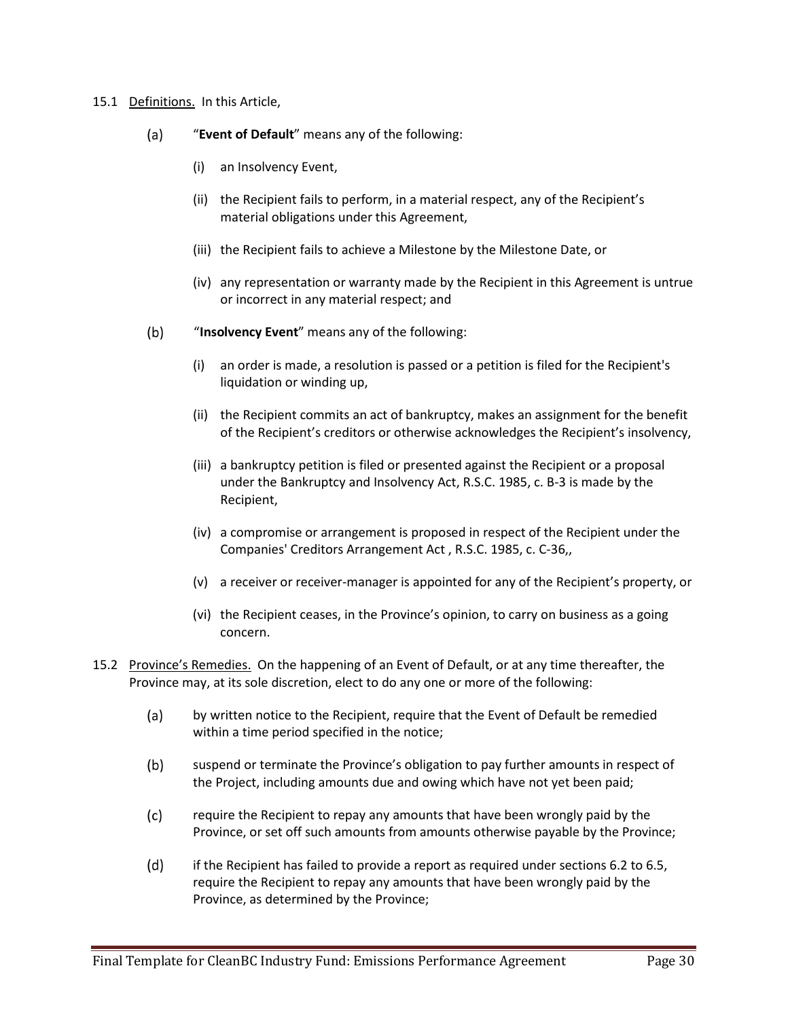#### 15.1 Definitions. In this Article,

- $(a)$ "**Event of Default**" means any of the following:
	- (i) an Insolvency Event,
	- (ii) the Recipient fails to perform, in a material respect, any of the Recipient's material obligations under this Agreement,
	- (iii) the Recipient fails to achieve a Milestone by the Milestone Date, or
	- (iv) any representation or warranty made by the Recipient in this Agreement is untrue or incorrect in any material respect; and
- $(b)$ "**Insolvency Event**" means any of the following:
	- (i) an order is made, a resolution is passed or a petition is filed for the Recipient's liquidation or winding up,
	- (ii) the Recipient commits an act of bankruptcy, makes an assignment for the benefit of the Recipient's creditors or otherwise acknowledges the Recipient's insolvency,
	- (iii) a bankruptcy petition is filed or presented against the Recipient or a proposal under the Bankruptcy and Insolvency Act, R.S.C. 1985, c. B-3 is made by the Recipient,
	- (iv) a compromise or arrangement is proposed in respect of the Recipient under the Companies' Creditors Arrangement Act , R.S.C. 1985, c. C-36,,
	- (v) a receiver or receiver-manager is appointed for any of the Recipient's property, or
	- (vi) the Recipient ceases, in the Province's opinion, to carry on business as a going concern.
- 15.2 Province's Remedies. On the happening of an Event of Default, or at any time thereafter, the Province may, at its sole discretion, elect to do any one or more of the following:
	- $(a)$ by written notice to the Recipient, require that the Event of Default be remedied within a time period specified in the notice;
	- $(b)$ suspend or terminate the Province's obligation to pay further amounts in respect of the Project, including amounts due and owing which have not yet been paid;
	- $(c)$ require the Recipient to repay any amounts that have been wrongly paid by the Province, or set off such amounts from amounts otherwise payable by the Province;
	- $(d)$ if the Recipient has failed to provide a report as required under sections 6.2 to 6.5, require the Recipient to repay any amounts that have been wrongly paid by the Province, as determined by the Province;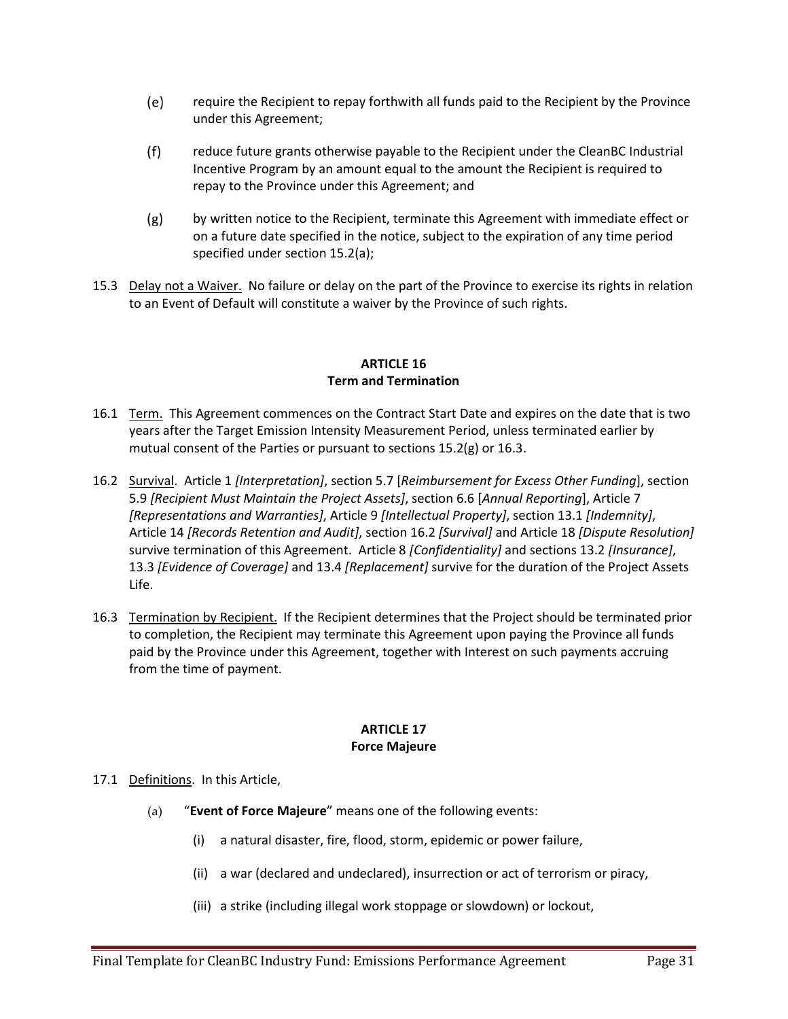- $(e)$ require the Recipient to repay forthwith all funds paid to the Recipient by the Province under this Agreement;
- $(f)$ reduce future grants otherwise payable to the Recipient under the CleanBC Industrial Incentive Program by an amount equal to the amount the Recipient is required to repay to the Province under this Agreement; and
- $(g)$ by written notice to the Recipient, terminate this Agreement with immediate effect or on a future date specified in the notice, subject to the expiration of any time period specified under section 15.2(a);
- 15.3 Delay not a Waiver. No failure or delay on the part of the Province to exercise its rights in relation to an Event of Default will constitute a waiver by the Province of such rights.

### **ARTICLE 16 Term and Termination**

- 16.1 Term. This Agreement commences on the Contract Start Date and expires on the date that is two years after the Target Emission Intensity Measurement Period, unless terminated earlier by mutual consent of the Parties or pursuant to sections 15.2(g) or 16.3.
- 16.2 Survival. Article 1 *[Interpretation]*, section 5.7 [*Reimbursement for Excess Other Funding*], section 5.9 *[Recipient Must Maintain the Project Assets]*, section 6.6 [*Annual Reporting*], Article 7 *[Representations and Warranties]*, Article 9 *[Intellectual Property]*, section 13.1 *[Indemnity]*, Article 14 *[Records Retention and Audit]*, section 16.2 *[Survival]* and Article 18 *[Dispute Resolution]*  survive termination of this Agreement. Article 8 *[Confidentiality]* and sections 13.2 *[Insurance]*, 13.3 *[Evidence of Coverage]* and 13.4 *[Replacement]* survive for the duration of the Project Assets Life.
- 16.3 Termination by Recipient. If the Recipient determines that the Project should be terminated prior to completion, the Recipient may terminate this Agreement upon paying the Province all funds paid by the Province under this Agreement, together with Interest on such payments accruing from the time of payment.

### **ARTICLE 17 Force Majeure**

#### 17.1 Definitions. In this Article,

- (a) "**Event of Force Majeure**" means one of the following events:
	- (i) a natural disaster, fire, flood, storm, epidemic or power failure,
	- (ii) a war (declared and undeclared), insurrection or act of terrorism or piracy,
	- (iii) a strike (including illegal work stoppage or slowdown) or lockout,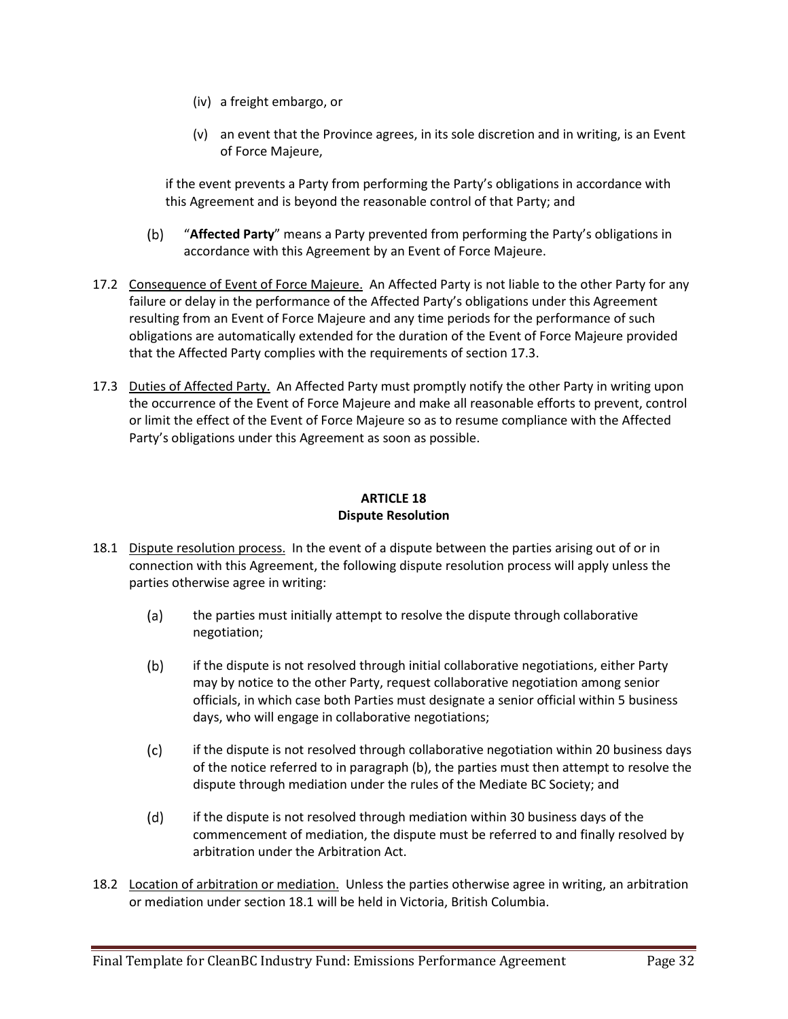- (iv) a freight embargo, or
- (v) an event that the Province agrees, in its sole discretion and in writing, is an Event of Force Majeure,

if the event prevents a Party from performing the Party's obligations in accordance with this Agreement and is beyond the reasonable control of that Party; and

- "**Affected Party**" means a Party prevented from performing the Party's obligations in  $(b)$ accordance with this Agreement by an Event of Force Majeure.
- 17.2 Consequence of Event of Force Majeure. An Affected Party is not liable to the other Party for any failure or delay in the performance of the Affected Party's obligations under this Agreement resulting from an Event of Force Majeure and any time periods for the performance of such obligations are automatically extended for the duration of the Event of Force Majeure provided that the Affected Party complies with the requirements of section 17.3.
- 17.3 Duties of Affected Party. An Affected Party must promptly notify the other Party in writing upon the occurrence of the Event of Force Majeure and make all reasonable efforts to prevent, control or limit the effect of the Event of Force Majeure so as to resume compliance with the Affected Party's obligations under this Agreement as soon as possible.

## **ARTICLE 18 Dispute Resolution**

- 18.1 Dispute resolution process. In the event of a dispute between the parties arising out of or in connection with this Agreement, the following dispute resolution process will apply unless the parties otherwise agree in writing:
	- the parties must initially attempt to resolve the dispute through collaborative  $(a)$ negotiation;
	- $(b)$ if the dispute is not resolved through initial collaborative negotiations, either Party may by notice to the other Party, request collaborative negotiation among senior officials, in which case both Parties must designate a senior official within 5 business days, who will engage in collaborative negotiations;
	- $(c)$ if the dispute is not resolved through collaborative negotiation within 20 business days of the notice referred to in paragraph (b), the parties must then attempt to resolve the dispute through mediation under the rules of the Mediate BC Society; and
	- $(d)$ if the dispute is not resolved through mediation within 30 business days of the commencement of mediation, the dispute must be referred to and finally resolved by arbitration under the Arbitration Act.
- 18.2 Location of arbitration or mediation. Unless the parties otherwise agree in writing, an arbitration or mediation under section 18.1 will be held in Victoria, British Columbia.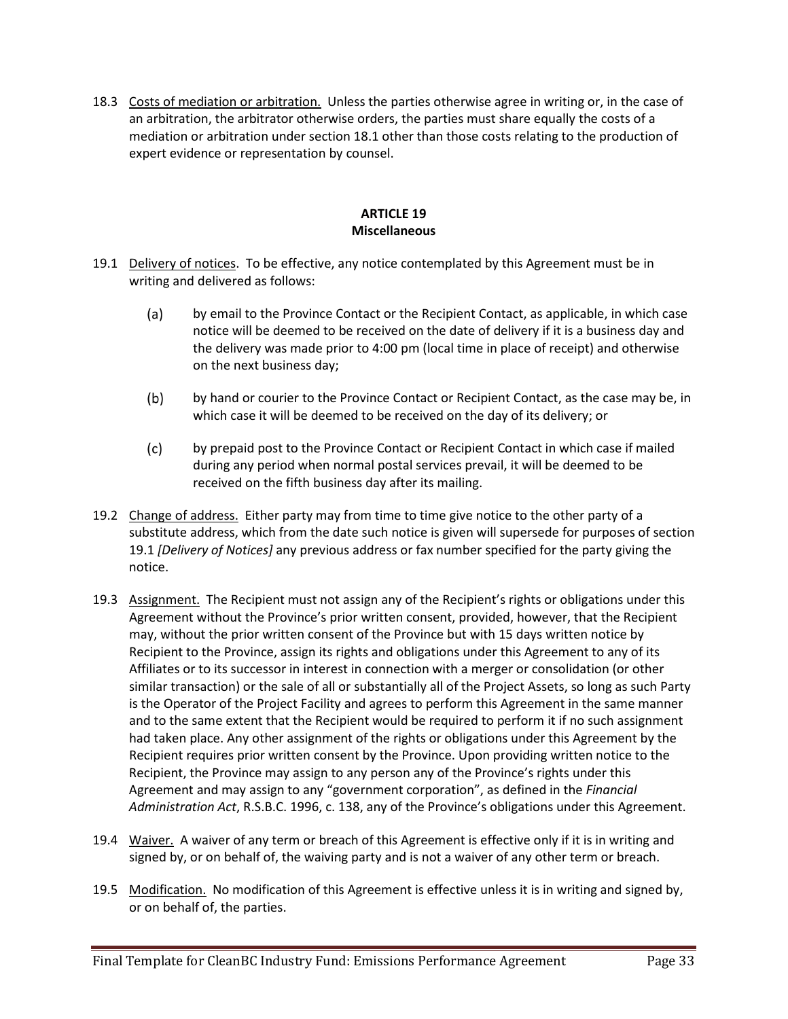18.3 Costs of mediation or arbitration. Unless the parties otherwise agree in writing or, in the case of an arbitration, the arbitrator otherwise orders, the parties must share equally the costs of a mediation or arbitration under section 18.1 other than those costs relating to the production of expert evidence or representation by counsel.

### **ARTICLE 19 Miscellaneous**

- 19.1 Delivery of notices. To be effective, any notice contemplated by this Agreement must be in writing and delivered as follows:
	- $(a)$ by email to the Province Contact or the Recipient Contact, as applicable, in which case notice will be deemed to be received on the date of delivery if it is a business day and the delivery was made prior to 4:00 pm (local time in place of receipt) and otherwise on the next business day;
	- $(b)$ by hand or courier to the Province Contact or Recipient Contact, as the case may be, in which case it will be deemed to be received on the day of its delivery; or
	- $(c)$ by prepaid post to the Province Contact or Recipient Contact in which case if mailed during any period when normal postal services prevail, it will be deemed to be received on the fifth business day after its mailing.
- 19.2 Change of address. Either party may from time to time give notice to the other party of a substitute address, which from the date such notice is given will supersede for purposes of section 19.1 *[Delivery of Notices]* any previous address or fax number specified for the party giving the notice.
- 19.3 Assignment. The Recipient must not assign any of the Recipient's rights or obligations under this Agreement without the Province's prior written consent, provided, however, that the Recipient may, without the prior written consent of the Province but with 15 days written notice by Recipient to the Province, assign its rights and obligations under this Agreement to any of its Affiliates or to its successor in interest in connection with a merger or consolidation (or other similar transaction) or the sale of all or substantially all of the Project Assets, so long as such Party is the Operator of the Project Facility and agrees to perform this Agreement in the same manner and to the same extent that the Recipient would be required to perform it if no such assignment had taken place. Any other assignment of the rights or obligations under this Agreement by the Recipient requires prior written consent by the Province. Upon providing written notice to the Recipient, the Province may assign to any person any of the Province's rights under this Agreement and may assign to any "government corporation", as defined in the *Financial Administration Act*, R.S.B.C. 1996, c. 138, any of the Province's obligations under this Agreement.
- 19.4 Waiver. A waiver of any term or breach of this Agreement is effective only if it is in writing and signed by, or on behalf of, the waiving party and is not a waiver of any other term or breach.
- 19.5 Modification. No modification of this Agreement is effective unless it is in writing and signed by, or on behalf of, the parties.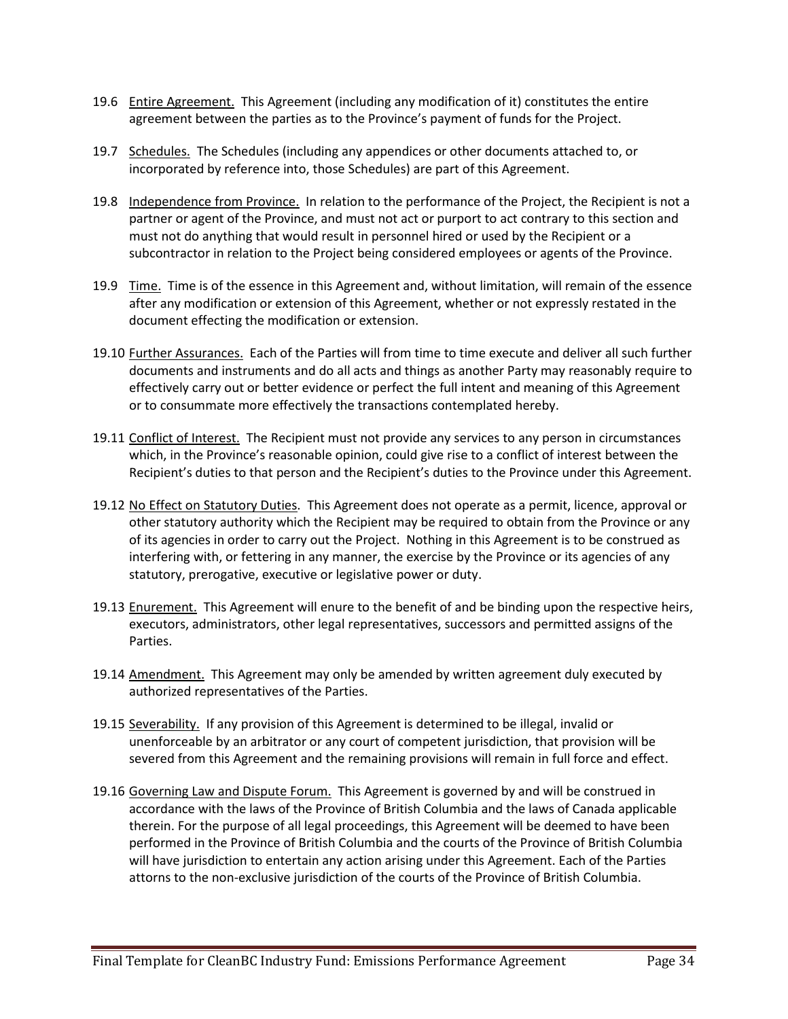- 19.6 Entire Agreement. This Agreement (including any modification of it) constitutes the entire agreement between the parties as to the Province's payment of funds for the Project.
- 19.7 Schedules. The Schedules (including any appendices or other documents attached to, or incorporated by reference into, those Schedules) are part of this Agreement.
- 19.8 Independence from Province. In relation to the performance of the Project, the Recipient is not a partner or agent of the Province, and must not act or purport to act contrary to this section and must not do anything that would result in personnel hired or used by the Recipient or a subcontractor in relation to the Project being considered employees or agents of the Province.
- 19.9 Time. Time is of the essence in this Agreement and, without limitation, will remain of the essence after any modification or extension of this Agreement, whether or not expressly restated in the document effecting the modification or extension.
- 19.10 Further Assurances. Each of the Parties will from time to time execute and deliver all such further documents and instruments and do all acts and things as another Party may reasonably require to effectively carry out or better evidence or perfect the full intent and meaning of this Agreement or to consummate more effectively the transactions contemplated hereby.
- 19.11 Conflict of Interest. The Recipient must not provide any services to any person in circumstances which, in the Province's reasonable opinion, could give rise to a conflict of interest between the Recipient's duties to that person and the Recipient's duties to the Province under this Agreement.
- 19.12 No Effect on Statutory Duties. This Agreement does not operate as a permit, licence, approval or other statutory authority which the Recipient may be required to obtain from the Province or any of its agencies in order to carry out the Project. Nothing in this Agreement is to be construed as interfering with, or fettering in any manner, the exercise by the Province or its agencies of any statutory, prerogative, executive or legislative power or duty.
- 19.13 Enurement. This Agreement will enure to the benefit of and be binding upon the respective heirs, executors, administrators, other legal representatives, successors and permitted assigns of the Parties.
- 19.14 Amendment. This Agreement may only be amended by written agreement duly executed by authorized representatives of the Parties.
- 19.15 Severability. If any provision of this Agreement is determined to be illegal, invalid or unenforceable by an arbitrator or any court of competent jurisdiction, that provision will be severed from this Agreement and the remaining provisions will remain in full force and effect.
- 19.16 Governing Law and Dispute Forum. This Agreement is governed by and will be construed in accordance with the laws of the Province of British Columbia and the laws of Canada applicable therein. For the purpose of all legal proceedings, this Agreement will be deemed to have been performed in the Province of British Columbia and the courts of the Province of British Columbia will have jurisdiction to entertain any action arising under this Agreement. Each of the Parties attorns to the non-exclusive jurisdiction of the courts of the Province of British Columbia.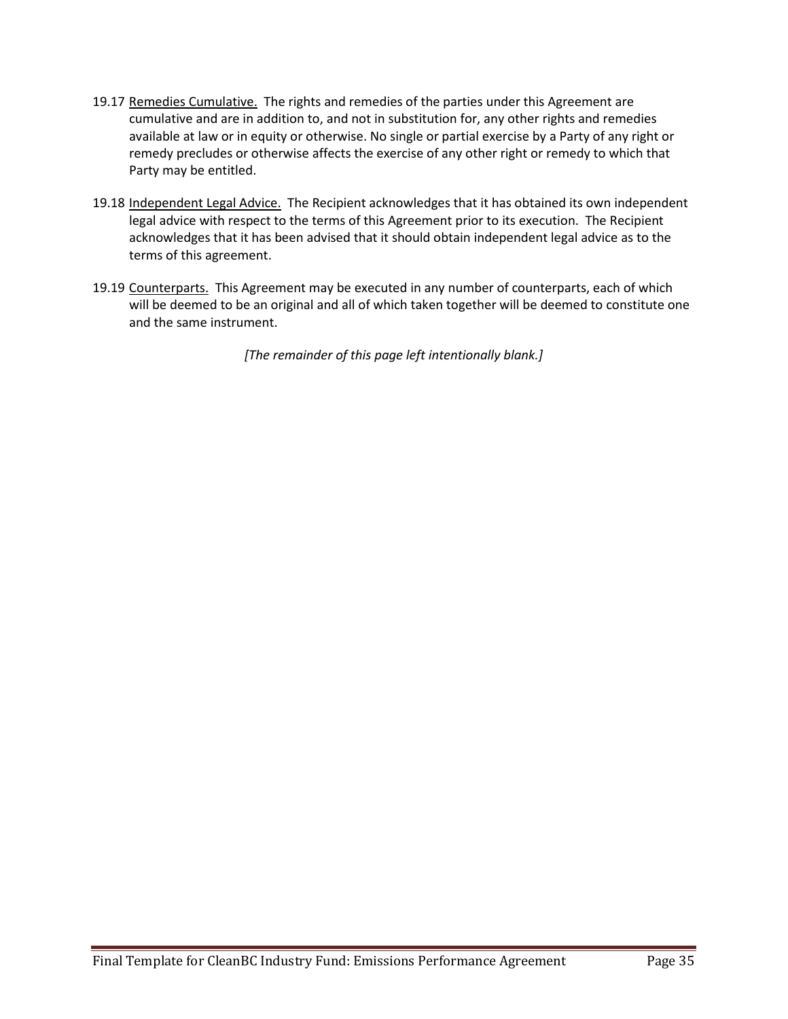- 19.17 Remedies Cumulative. The rights and remedies of the parties under this Agreement are cumulative and are in addition to, and not in substitution for, any other rights and remedies available at law or in equity or otherwise. No single or partial exercise by a Party of any right or remedy precludes or otherwise affects the exercise of any other right or remedy to which that Party may be entitled.
- 19.18 Independent Legal Advice. The Recipient acknowledges that it has obtained its own independent legal advice with respect to the terms of this Agreement prior to its execution. The Recipient acknowledges that it has been advised that it should obtain independent legal advice as to the terms of this agreement.
- 19.19 Counterparts. This Agreement may be executed in any number of counterparts, each of which will be deemed to be an original and all of which taken together will be deemed to constitute one and the same instrument.

*[The remainder of this page left intentionally blank.]*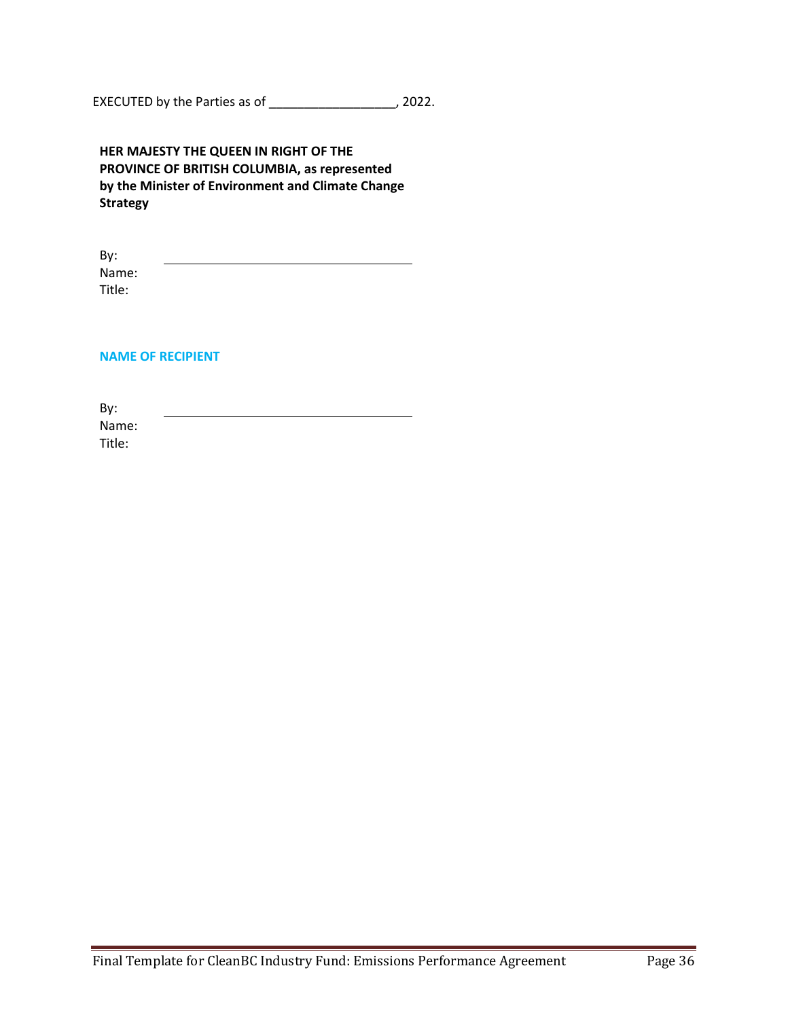EXECUTED by the Parties as of \_\_\_\_\_\_\_\_\_\_\_\_\_\_\_\_\_\_, 2022.

| HER MAJESTY THE QUEEN IN RIGHT OF THE             |
|---------------------------------------------------|
| PROVINCE OF BRITISH COLUMBIA, as represented      |
| by the Minister of Environment and Climate Change |
| <b>Strategy</b>                                   |

By: Name: Title:

#### **NAME OF RECIPIENT**

By: Name: Title: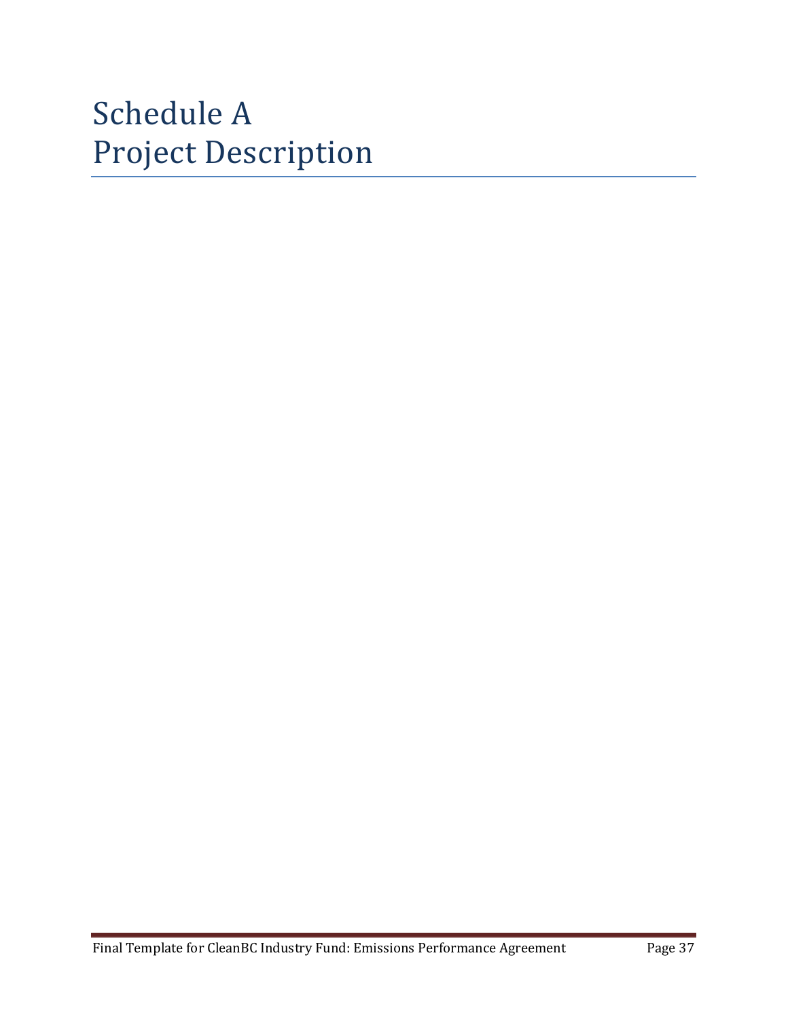# Schedule A Project Description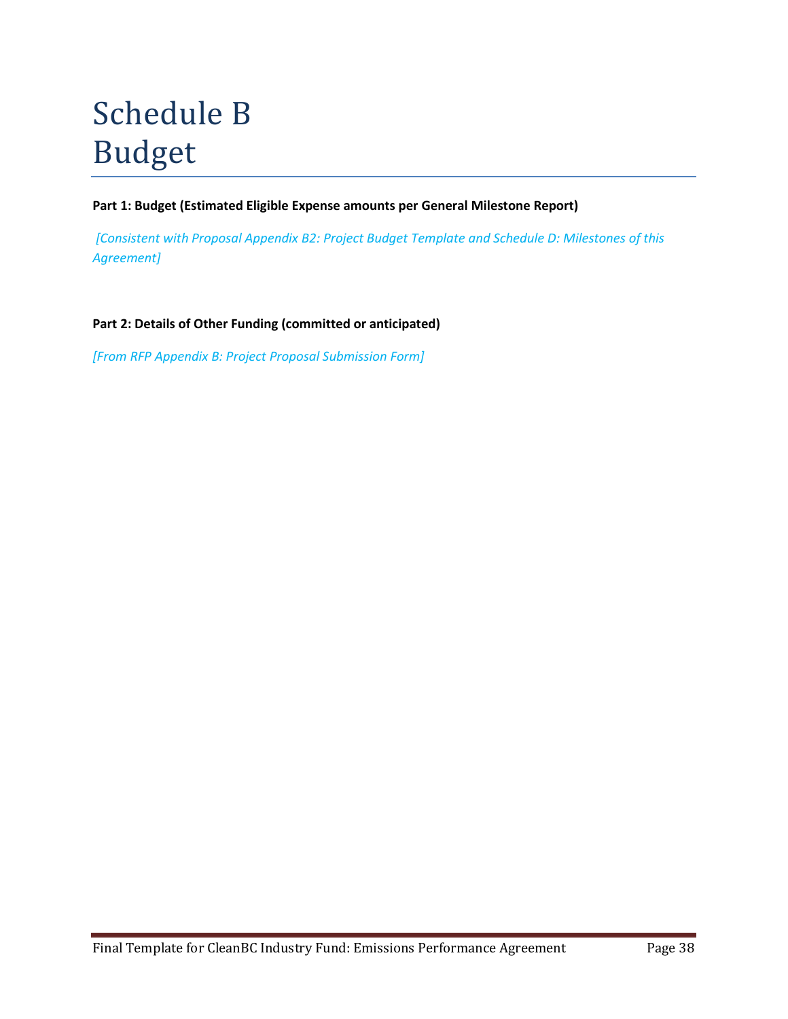# Schedule B Budget

**Part 1: Budget (Estimated Eligible Expense amounts per General Milestone Report)**

*[Consistent with Proposal Appendix B2: Project Budget Template and Schedule D: Milestones of this Agreement]*

**Part 2: Details of Other Funding (committed or anticipated)**

*[From RFP Appendix B: Project Proposal Submission Form]*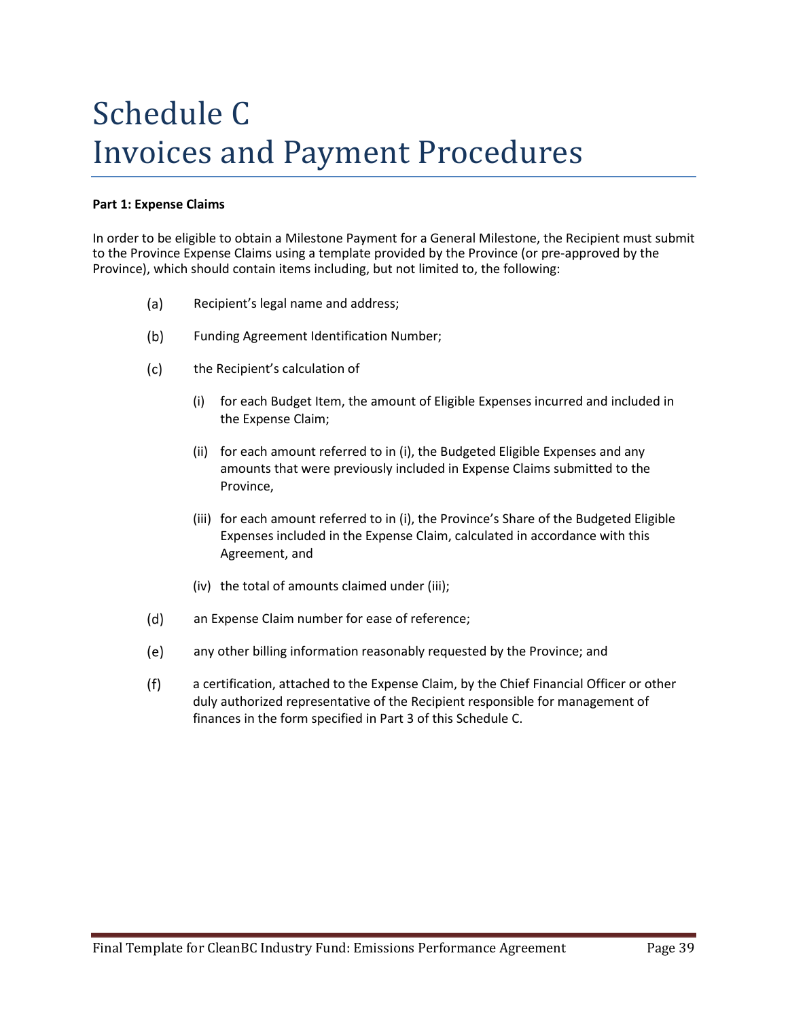# Schedule C Invoices and Payment Procedures

#### **Part 1: Expense Claims**

In order to be eligible to obtain a Milestone Payment for a General Milestone, the Recipient must submit to the Province Expense Claims using a template provided by the Province (or pre-approved by the Province), which should contain items including, but not limited to, the following:

- $(a)$ Recipient's legal name and address;
- $(b)$ Funding Agreement Identification Number;
- $(c)$ the Recipient's calculation of
	- (i) for each Budget Item, the amount of Eligible Expenses incurred and included in the Expense Claim;
	- (ii) for each amount referred to in (i), the Budgeted Eligible Expenses and any amounts that were previously included in Expense Claims submitted to the Province,
	- (iii) for each amount referred to in (i), the Province's Share of the Budgeted Eligible Expenses included in the Expense Claim, calculated in accordance with this Agreement, and
	- (iv) the total of amounts claimed under (iii);
- $(d)$ an Expense Claim number for ease of reference;
- $(e)$ any other billing information reasonably requested by the Province; and
- $(f)$ a certification, attached to the Expense Claim, by the Chief Financial Officer or other duly authorized representative of the Recipient responsible for management of finances in the form specified in Part 3 of this Schedule C.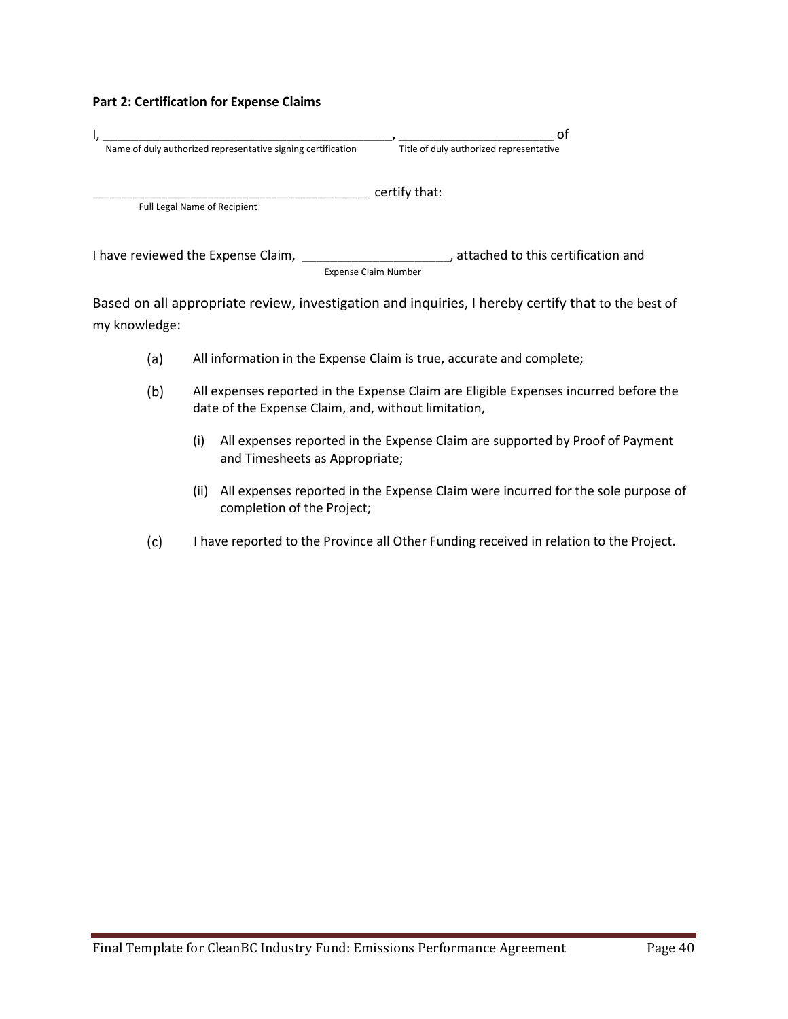#### **Part 2: Certification for Expense Claims**

|                                                              | Οl                                      |
|--------------------------------------------------------------|-----------------------------------------|
| Name of duly authorized representative signing certification | Title of duly authorized representative |
|                                                              | certify that:                           |
| <b>Full Legal Name of Recipient</b>                          |                                         |
| I have reviewed the Expense Claim,                           | attached to this certification and      |
|                                                              | <b>Expense Claim Number</b>             |

Based on all appropriate review, investigation and inquiries, I hereby certify that to the best of my knowledge:

- $(a)$ All information in the Expense Claim is true, accurate and complete;
- All expenses reported in the Expense Claim are Eligible Expenses incurred before the  $(b)$ date of the Expense Claim, and, without limitation,
	- (i) All expenses reported in the Expense Claim are supported by Proof of Payment and Timesheets as Appropriate;
	- (ii) All expenses reported in the Expense Claim were incurred for the sole purpose of completion of the Project;
- $(c)$ I have reported to the Province all Other Funding received in relation to the Project.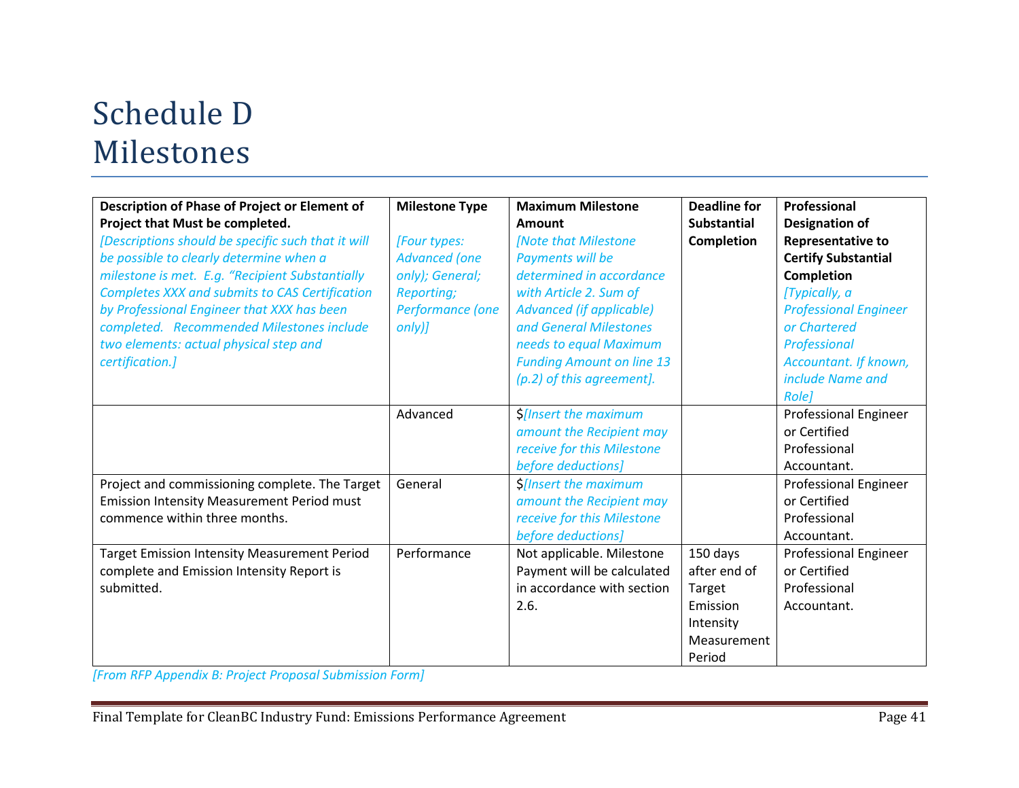# Schedule D Milestones

| Description of Phase of Project or Element of<br>Project that Must be completed.<br>[Descriptions should be specific such that it will<br>be possible to clearly determine when a<br>milestone is met. E.g. "Recipient Substantially<br>Completes XXX and submits to CAS Certification<br>by Professional Engineer that XXX has been<br>completed. Recommended Milestones include<br>two elements: actual physical step and<br>certification.] | <b>Milestone Type</b><br>[Four types:<br><b>Advanced (one</b><br>only); General;<br>Reporting;<br>Performance (one<br>$only$ <i>)</i> | <b>Maximum Milestone</b><br>Amount<br>[Note that Milestone<br>Payments will be<br>determined in accordance<br>with Article 2. Sum of<br><b>Advanced (if applicable)</b><br>and General Milestones<br>needs to equal Maximum<br><b>Funding Amount on line 13</b><br>(p.2) of this agreement]. | <b>Deadline for</b><br><b>Substantial</b><br><b>Completion</b>                       | Professional<br><b>Designation of</b><br><b>Representative to</b><br><b>Certify Substantial</b><br>Completion<br>[Typically, a<br><b>Professional Engineer</b><br>or Chartered<br>Professional<br>Accountant. If known,<br>include Name and<br><b>Rolel</b> |
|------------------------------------------------------------------------------------------------------------------------------------------------------------------------------------------------------------------------------------------------------------------------------------------------------------------------------------------------------------------------------------------------------------------------------------------------|---------------------------------------------------------------------------------------------------------------------------------------|----------------------------------------------------------------------------------------------------------------------------------------------------------------------------------------------------------------------------------------------------------------------------------------------|--------------------------------------------------------------------------------------|-------------------------------------------------------------------------------------------------------------------------------------------------------------------------------------------------------------------------------------------------------------|
|                                                                                                                                                                                                                                                                                                                                                                                                                                                | Advanced                                                                                                                              | S[Insert the maximum<br>amount the Recipient may<br>receive for this Milestone<br>before deductions]                                                                                                                                                                                         |                                                                                      | Professional Engineer<br>or Certified<br>Professional<br>Accountant.                                                                                                                                                                                        |
| Project and commissioning complete. The Target<br><b>Emission Intensity Measurement Period must</b><br>commence within three months.                                                                                                                                                                                                                                                                                                           | General                                                                                                                               | <b>S[Insert the maximum</b><br>amount the Recipient may<br>receive for this Milestone<br>before deductions]                                                                                                                                                                                  |                                                                                      | <b>Professional Engineer</b><br>or Certified<br>Professional<br>Accountant.                                                                                                                                                                                 |
| <b>Target Emission Intensity Measurement Period</b><br>complete and Emission Intensity Report is<br>submitted.                                                                                                                                                                                                                                                                                                                                 | Performance                                                                                                                           | Not applicable. Milestone<br>Payment will be calculated<br>in accordance with section<br>2.6.                                                                                                                                                                                                | 150 days<br>after end of<br>Target<br>Emission<br>Intensity<br>Measurement<br>Period | <b>Professional Engineer</b><br>or Certified<br>Professional<br>Accountant.                                                                                                                                                                                 |

*[From RFP Appendix B: Project Proposal Submission Form]*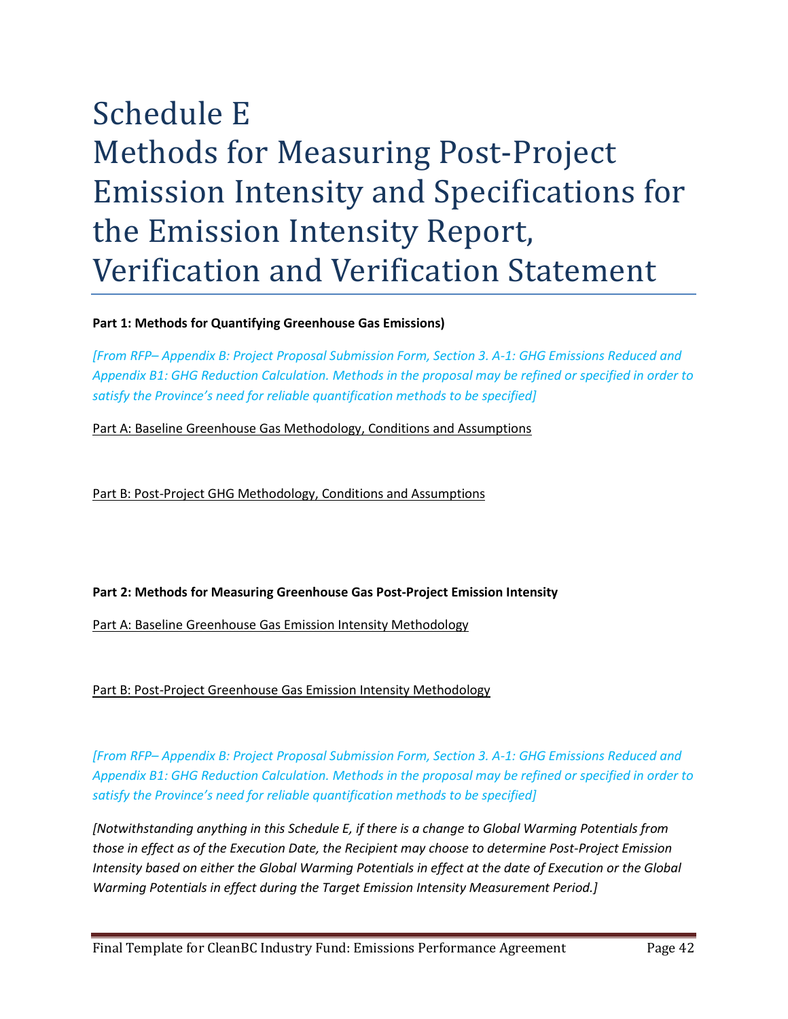# Schedule E Methods for Measuring Post-Project Emission Intensity and Specifications for the Emission Intensity Report, Verification and Verification Statement

## **Part 1: Methods for Quantifying Greenhouse Gas Emissions)**

*[From RFP– Appendix B: Project Proposal Submission Form, Section 3. A-1: GHG Emissions Reduced and Appendix B1: GHG Reduction Calculation. Methods in the proposal may be refined or specified in order to satisfy the Province's need for reliable quantification methods to be specified]*

Part A: Baseline Greenhouse Gas Methodology, Conditions and Assumptions

Part B: Post-Project GHG Methodology, Conditions and Assumptions

# **Part 2: Methods for Measuring Greenhouse Gas Post-Project Emission Intensity**

Part A: Baseline Greenhouse Gas Emission Intensity Methodology

Part B: Post-Project Greenhouse Gas Emission Intensity Methodology

*[From RFP– Appendix B: Project Proposal Submission Form, Section 3. A-1: GHG Emissions Reduced and Appendix B1: GHG Reduction Calculation. Methods in the proposal may be refined or specified in order to satisfy the Province's need for reliable quantification methods to be specified]*

*[Notwithstanding anything in this Schedule E, if there is a change to Global Warming Potentials from those in effect as of the Execution Date, the Recipient may choose to determine Post-Project Emission Intensity based on either the Global Warming Potentials in effect at the date of Execution or the Global Warming Potentials in effect during the Target Emission Intensity Measurement Period.]*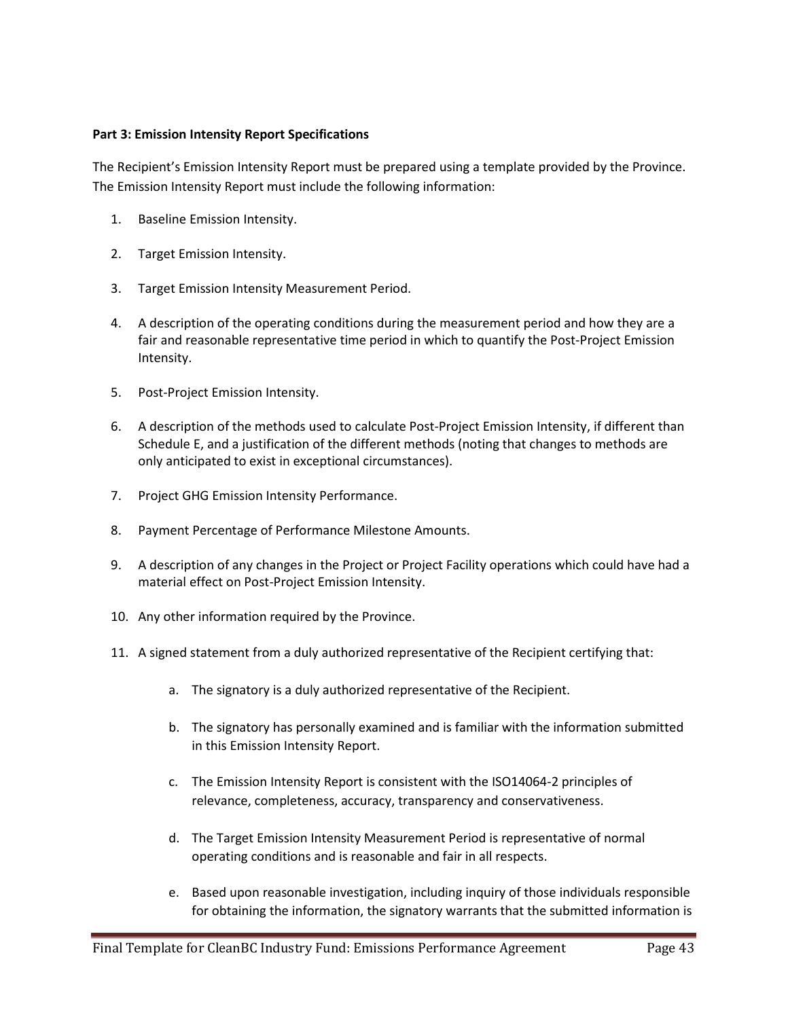#### **Part 3: Emission Intensity Report Specifications**

The Recipient's Emission Intensity Report must be prepared using a template provided by the Province. The Emission Intensity Report must include the following information:

- 1. Baseline Emission Intensity.
- 2. Target Emission Intensity.
- 3. Target Emission Intensity Measurement Period.
- 4. A description of the operating conditions during the measurement period and how they are a fair and reasonable representative time period in which to quantify the Post-Project Emission Intensity.
- 5. Post-Project Emission Intensity.
- 6. A description of the methods used to calculate Post-Project Emission Intensity, if different than Schedule E, and a justification of the different methods (noting that changes to methods are only anticipated to exist in exceptional circumstances).
- 7. Project GHG Emission Intensity Performance.
- 8. Payment Percentage of Performance Milestone Amounts.
- 9. A description of any changes in the Project or Project Facility operations which could have had a material effect on Post-Project Emission Intensity.
- 10. Any other information required by the Province.
- 11. A signed statement from a duly authorized representative of the Recipient certifying that:
	- a. The signatory is a duly authorized representative of the Recipient.
	- b. The signatory has personally examined and is familiar with the information submitted in this Emission Intensity Report.
	- c. The Emission Intensity Report is consistent with the ISO14064-2 principles of relevance, completeness, accuracy, transparency and conservativeness.
	- d. The Target Emission Intensity Measurement Period is representative of normal operating conditions and is reasonable and fair in all respects.
	- e. Based upon reasonable investigation, including inquiry of those individuals responsible for obtaining the information, the signatory warrants that the submitted information is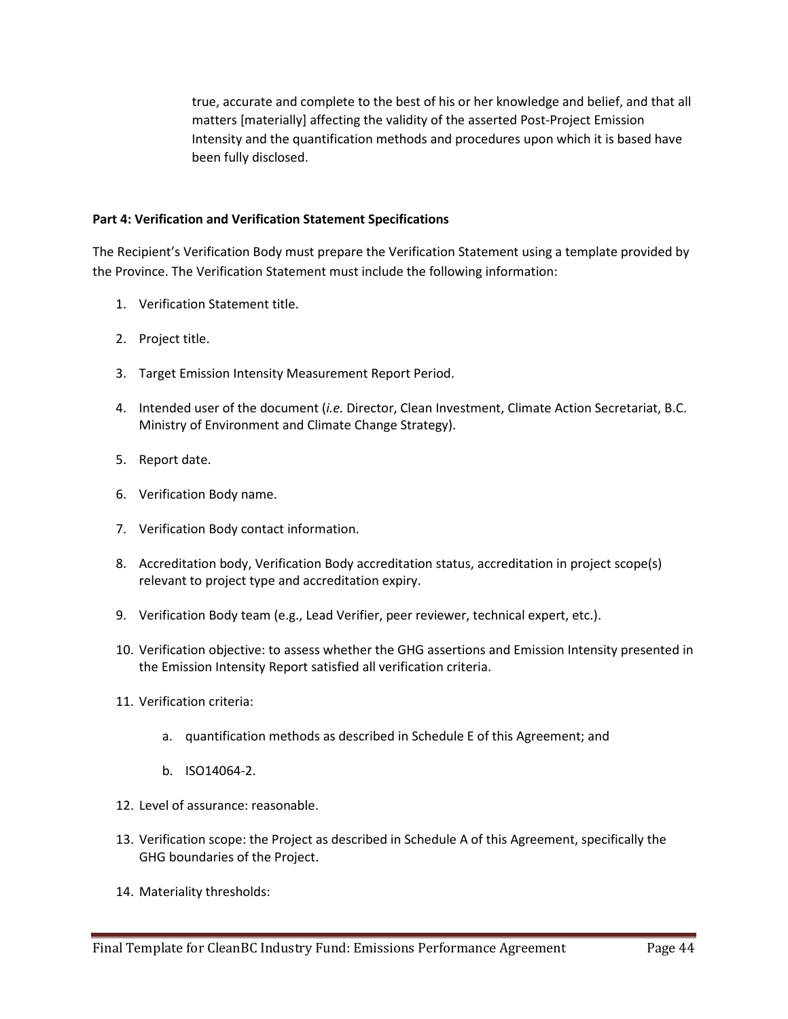true, accurate and complete to the best of his or her knowledge and belief, and that all matters [materially] affecting the validity of the asserted Post-Project Emission Intensity and the quantification methods and procedures upon which it is based have been fully disclosed.

#### **Part 4: Verification and Verification Statement Specifications**

The Recipient's Verification Body must prepare the Verification Statement using a template provided by the Province. The Verification Statement must include the following information:

- 1. Verification Statement title.
- 2. Project title.
- 3. Target Emission Intensity Measurement Report Period.
- 4. Intended user of the document (*i.e.* Director, Clean Investment, Climate Action Secretariat, B.C. Ministry of Environment and Climate Change Strategy).
- 5. Report date.
- 6. Verification Body name.
- 7. Verification Body contact information.
- 8. Accreditation body, Verification Body accreditation status, accreditation in project scope(s) relevant to project type and accreditation expiry.
- 9. Verification Body team (e.g., Lead Verifier, peer reviewer, technical expert, etc.).
- 10. Verification objective: to assess whether the GHG assertions and Emission Intensity presented in the Emission Intensity Report satisfied all verification criteria.
- 11. Verification criteria:
	- a. quantification methods as described in Schedule E of this Agreement; and
	- b. ISO14064-2.
- 12. Level of assurance: reasonable.
- 13. Verification scope: the Project as described in Schedule A of this Agreement, specifically the GHG boundaries of the Project.
- 14. Materiality thresholds: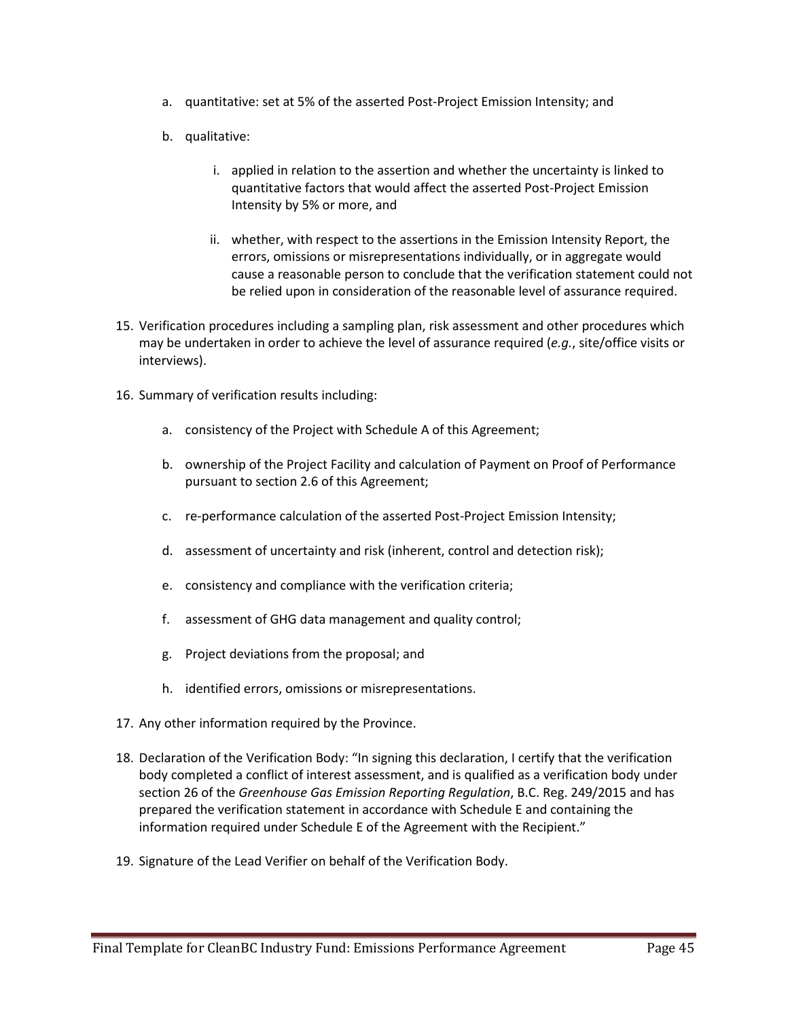- a. quantitative: set at 5% of the asserted Post-Project Emission Intensity; and
- b. qualitative:
	- i. applied in relation to the assertion and whether the uncertainty is linked to quantitative factors that would affect the asserted Post-Project Emission Intensity by 5% or more, and
	- ii. whether, with respect to the assertions in the Emission Intensity Report, the errors, omissions or misrepresentations individually, or in aggregate would cause a reasonable person to conclude that the verification statement could not be relied upon in consideration of the reasonable level of assurance required.
- 15. Verification procedures including a sampling plan, risk assessment and other procedures which may be undertaken in order to achieve the level of assurance required (*e.g.*, site/office visits or interviews).
- 16. Summary of verification results including:
	- a. consistency of the Project with Schedule A of this Agreement;
	- b. ownership of the Project Facility and calculation of Payment on Proof of Performance pursuant to section 2.6 of this Agreement;
	- c. re-performance calculation of the asserted Post-Project Emission Intensity;
	- d. assessment of uncertainty and risk (inherent, control and detection risk);
	- e. consistency and compliance with the verification criteria;
	- f. assessment of GHG data management and quality control;
	- g. Project deviations from the proposal; and
	- h. identified errors, omissions or misrepresentations.
- 17. Any other information required by the Province.
- 18. Declaration of the Verification Body: "In signing this declaration, I certify that the verification body completed a conflict of interest assessment, and is qualified as a verification body under section 26 of the *Greenhouse Gas Emission Reporting Regulation*, B.C. Reg. 249/2015 and has prepared the verification statement in accordance with Schedule E and containing the information required under Schedule E of the Agreement with the Recipient."
- 19. Signature of the Lead Verifier on behalf of the Verification Body.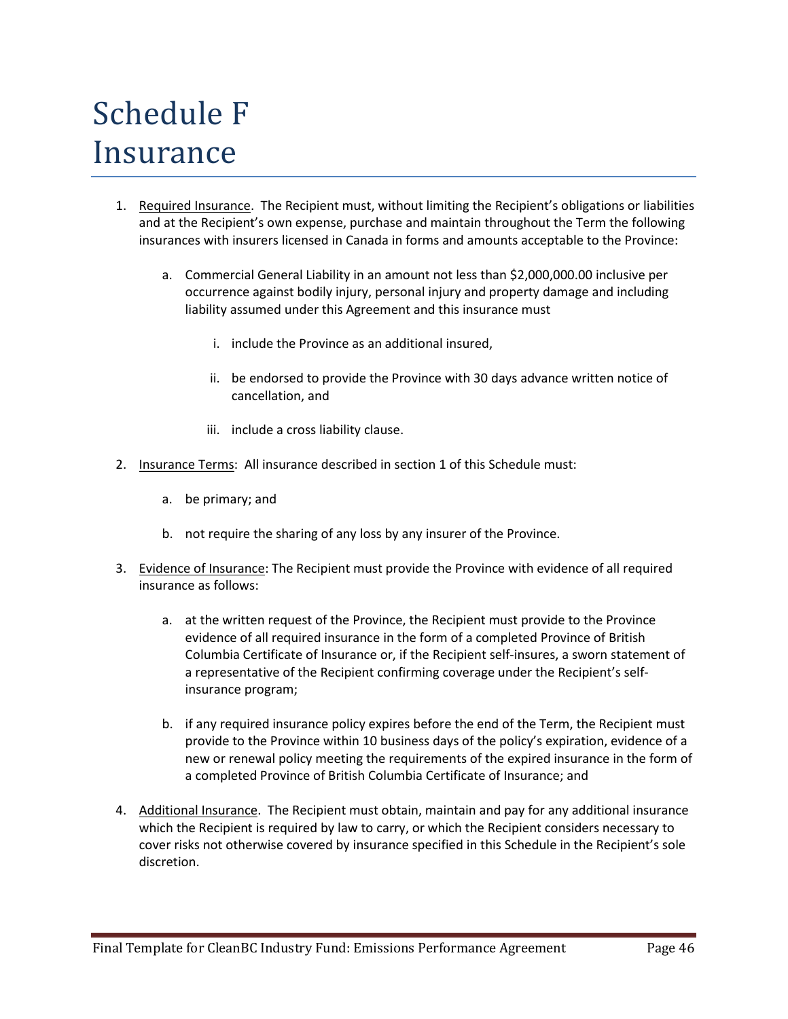# Schedule F Insurance

- 1. Required Insurance. The Recipient must, without limiting the Recipient's obligations or liabilities and at the Recipient's own expense, purchase and maintain throughout the Term the following insurances with insurers licensed in Canada in forms and amounts acceptable to the Province:
	- a. Commercial General Liability in an amount not less than \$2,000,000.00 inclusive per occurrence against bodily injury, personal injury and property damage and including liability assumed under this Agreement and this insurance must
		- i. include the Province as an additional insured,
		- ii. be endorsed to provide the Province with 30 days advance written notice of cancellation, and
		- iii. include a cross liability clause.
- 2. Insurance Terms: All insurance described in section 1 of this Schedule must:
	- a. be primary; and
	- b. not require the sharing of any loss by any insurer of the Province.
- 3. Evidence of Insurance: The Recipient must provide the Province with evidence of all required insurance as follows:
	- a. at the written request of the Province, the Recipient must provide to the Province evidence of all required insurance in the form of a completed Province of British Columbia Certificate of Insurance or, if the Recipient self-insures, a sworn statement of a representative of the Recipient confirming coverage under the Recipient's selfinsurance program;
	- b. if any required insurance policy expires before the end of the Term, the Recipient must provide to the Province within 10 business days of the policy's expiration, evidence of a new or renewal policy meeting the requirements of the expired insurance in the form of a completed Province of British Columbia Certificate of Insurance; and
- 4. Additional Insurance. The Recipient must obtain, maintain and pay for any additional insurance which the Recipient is required by law to carry, or which the Recipient considers necessary to cover risks not otherwise covered by insurance specified in this Schedule in the Recipient's sole discretion.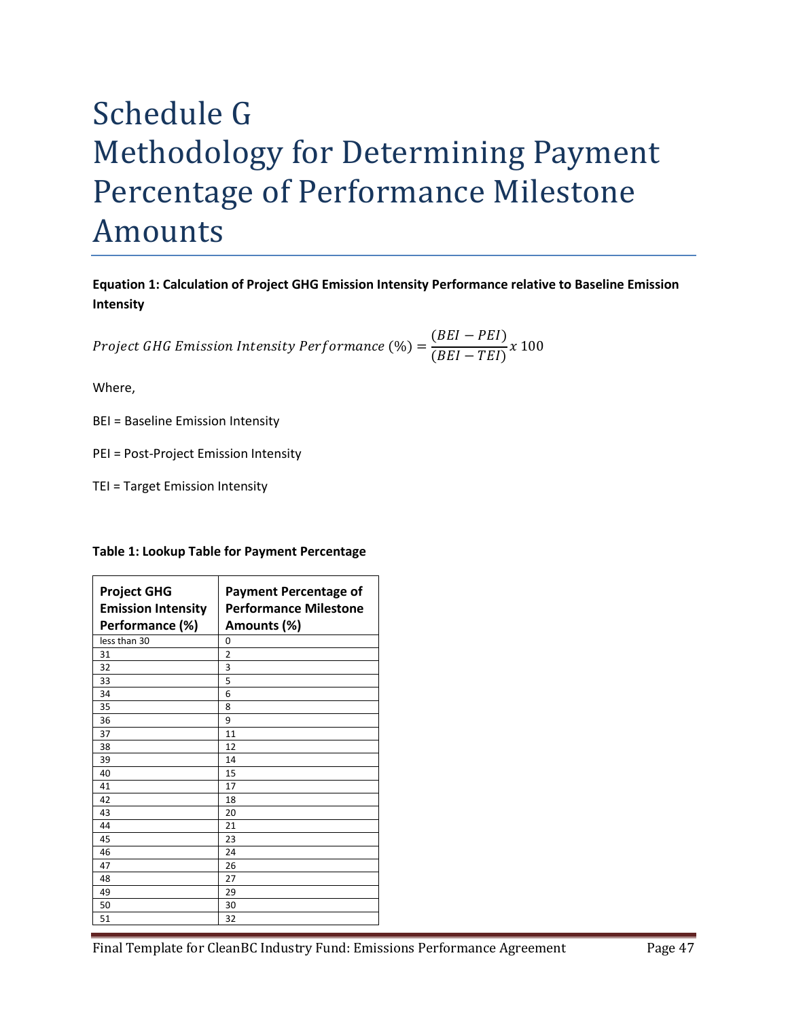# Schedule G Methodology for Determining Payment Percentage of Performance Milestone Amounts

**Equation 1: Calculation of Project GHG Emission Intensity Performance relative to Baseline Emission Intensity**

*Project GHG Emission Intensity Performance* (%) =  $\frac{(BEI - PEI)}{(BEI - TEI)}$  x 100

Where,

- BEI = Baseline Emission Intensity
- PEI = Post-Project Emission Intensity
- TEI = Target Emission Intensity

|  | Table 1: Lookup Table for Payment Percentage |
|--|----------------------------------------------|
|--|----------------------------------------------|

| <b>Project GHG</b><br><b>Emission Intensity</b><br>Performance (%) | <b>Payment Percentage of</b><br><b>Performance Milestone</b><br>Amounts (%) |
|--------------------------------------------------------------------|-----------------------------------------------------------------------------|
| less than 30                                                       | 0                                                                           |
| 31                                                                 | $\overline{2}$                                                              |
| 32                                                                 | 3                                                                           |
| 33                                                                 | 5                                                                           |
| 34                                                                 | 6                                                                           |
| 35                                                                 | 8                                                                           |
| 36                                                                 | 9                                                                           |
| 37                                                                 | 11                                                                          |
| 38                                                                 | 12                                                                          |
| 39                                                                 | 14                                                                          |
| 40                                                                 | 15                                                                          |
| 41                                                                 | 17                                                                          |
| 42                                                                 | 18                                                                          |
| 43                                                                 | 20                                                                          |
| 44                                                                 | 21                                                                          |
| 45                                                                 | 23                                                                          |
| 46                                                                 | 24                                                                          |
| 47                                                                 | 26                                                                          |
| 48                                                                 | 27                                                                          |
| 49                                                                 | 29                                                                          |
| 50                                                                 | 30                                                                          |
| 51                                                                 | 32                                                                          |